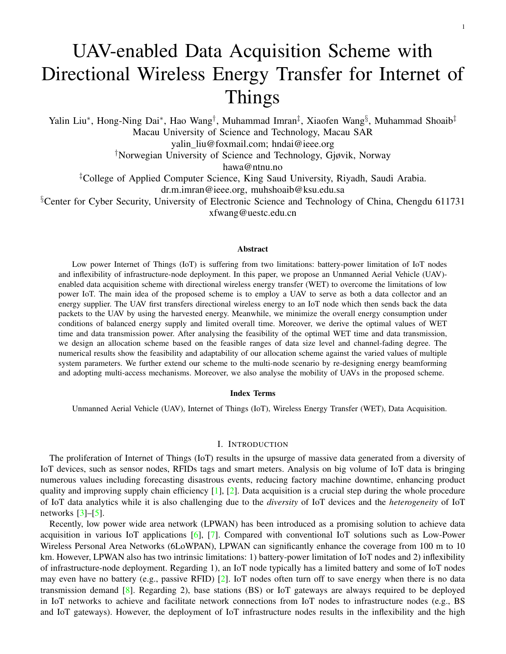# UAV-enabled Data Acquisition Scheme with Directional Wireless Energy Transfer for Internet of Things

Yalin Liu\*, Hong-Ning Dai\*, Hao Wang<sup>†</sup>, Muhammad Imran<sup>‡</sup>, Xiaofen Wang§, Muhammad Shoaib<sup>‡</sup> Macau University of Science and Technology, Macau SAR yalin liu@foxmail.com; hndai@ieee.org †Norwegian University of Science and Technology, Gjøvik, Norway hawa@ntnu.no ‡College of Applied Computer Science, King Saud University, Riyadh, Saudi Arabia. dr.m.imran@ieee.org, muhshoaib@ksu.edu.sa

<sup>§</sup>Center for Cyber Security, University of Electronic Science and Technology of China, Chengdu 611731 xfwang@uestc.edu.cn

# Abstract

Low power Internet of Things (IoT) is suffering from two limitations: battery-power limitation of IoT nodes and inflexibility of infrastructure-node deployment. In this paper, we propose an Unmanned Aerial Vehicle (UAV) enabled data acquisition scheme with directional wireless energy transfer (WET) to overcome the limitations of low power IoT. The main idea of the proposed scheme is to employ a UAV to serve as both a data collector and an energy supplier. The UAV first transfers directional wireless energy to an IoT node which then sends back the data packets to the UAV by using the harvested energy. Meanwhile, we minimize the overall energy consumption under conditions of balanced energy supply and limited overall time. Moreover, we derive the optimal values of WET time and data transmission power. After analysing the feasibility of the optimal WET time and data transmission, we design an allocation scheme based on the feasible ranges of data size level and channel-fading degree. The numerical results show the feasibility and adaptability of our allocation scheme against the varied values of multiple system parameters. We further extend our scheme to the multi-node scenario by re-designing energy beamforming and adopting multi-access mechanisms. Moreover, we also analyse the mobility of UAVs in the proposed scheme.

# Index Terms

Unmanned Aerial Vehicle (UAV), Internet of Things (IoT), Wireless Energy Transfer (WET), Data Acquisition.

## I. INTRODUCTION

The proliferation of Internet of Things (IoT) results in the upsurge of massive data generated from a diversity of IoT devices, such as sensor nodes, RFIDs tags and smart meters. Analysis on big volume of IoT data is bringing numerous values including forecasting disastrous events, reducing factory machine downtime, enhancing product quality and improving supply chain efficiency  $[1]$ ,  $[2]$ . Data acquisition is a crucial step during the whole procedure of IoT data analytics while it is also challenging due to the *diversity* of IoT devices and the *heterogeneity* of IoT networks  $[3]-[5]$  $[3]-[5]$  $[3]-[5]$ .

Recently, low power wide area network (LPWAN) has been introduced as a promising solution to achieve data acquisition in various IoT applications [\[6\]](#page-18-4), [\[7\]](#page-18-5). Compared with conventional IoT solutions such as Low-Power Wireless Personal Area Networks (6LoWPAN), LPWAN can significantly enhance the coverage from 100 m to 10 km. However, LPWAN also has two intrinsic limitations: 1) battery-power limitation of IoT nodes and 2) inflexibility of infrastructure-node deployment. Regarding 1), an IoT node typically has a limited battery and some of IoT nodes may even have no battery (e.g., passive RFID) [\[2\]](#page-18-1). IoT nodes often turn off to save energy when there is no data transmission demand [\[8\]](#page-19-0). Regarding 2), base stations (BS) or IoT gateways are always required to be deployed in IoT networks to achieve and facilitate network connections from IoT nodes to infrastructure nodes (e.g., BS and IoT gateways). However, the deployment of IoT infrastructure nodes results in the inflexibility and the high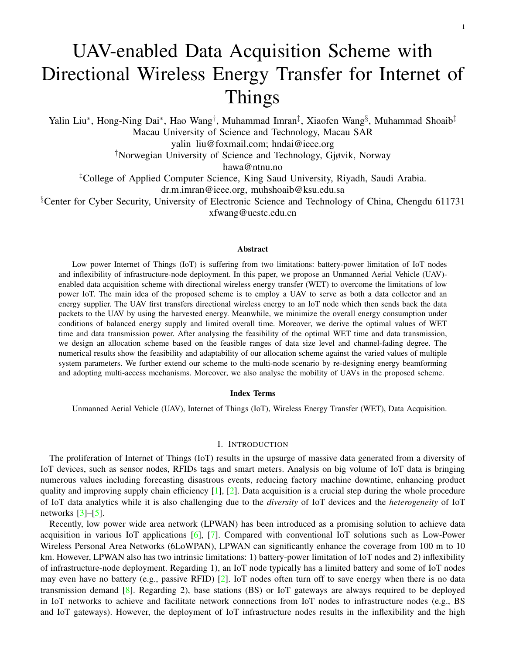

<span id="page-1-0"></span>Fig. 1. Application scenarios of UAV-enabled data acquisition with WET

expenditure of establishing and maintaining the IoT network. In addition, it is also not always feasible to deploy IoT infrastructure nodes in scenarios like rural pastures, mountainous areas and ruins after disasters [\[9\]](#page-19-1).

The recent advances in Unmanned Air Vehicle (UAV) technologies have received extensive attention from both academia and industry. UAVs have a wide diversity of applications in both military and civil fields mainly owing to their high mobility and deployment flexibility [\[10\]](#page-19-2)–[\[14\]](#page-19-3). Many studies employ UAVs as relay nodes to extend the coverage of communications networks  $[15]$ ,  $[16]$ . In addition, the studies such as  $[17]$ ,  $[18]$  exploit UAVs as the data collectors hovering over the area with IoT nodes to obtain the IoT data.

On the other hand, wireless energy transfer (WET) technologies are exploited to transfer radio energy to wireless nodes so as to prolong the life-span of networks [\[19\]](#page-19-8), [\[20\]](#page-19-9). Since general wireless channels of WET often experience high attenuation and large path loss, recent studies tend to investigate the energy-maximization scheme to cope with different requirements. For example, recent studies  $[21]$ – $[23]$  investigate maximizing the received energy at multiple users or single user. Meanwhile, [\[21\]](#page-19-10) presents the *energy beamforming* technology that can get a maximum harvested power by controlling the transmit beamforming (BF) vector in advance.

The integration of UAV and WET technologies can overcome the aforementioned limitations of IoT data acquisition. In particular, a UAV can transfer radio energy to an IoT node which can then have enough energy to transmit data back to the UAV. During this procedure, the UAV plays a role of serving as both an energy supplier and a data collector in IoT. Accordingly, a number of IoT application scenarios can be benefited from UAV-enabled WET and data acquisition, such as forest fire surveillance, smart farms, water-quality monitoring in rural areas as shown in Fig. [1.](#page-1-0) Some recent studies exploit the integration of UAVs with WET technology (e.g., [\[24\]](#page-19-12)–[\[27\]](#page-19-13)). For example, the work of [\[27\]](#page-19-13) investigates the optimal UAV trajectory when UAVs are used as energy suppliers to IoT nodes. However, most of existing studies assume that radio energy is broadcast omni-directionally (i.e., toward all directions) thereby leading to the poor energy harvesting efficiency.

In contrast to prior studies, this paper concentrates on designing a controllable WET by exploiting energy beamforming (BF) technology to transfer radio energy to an IoT node in a directional manner, consequently improving the energy harvesting efficiency. For the purpose of exposition, we consider the UAV-enabled data acquisition system for a single IoT node, in which the UAV transmits BF energy signal to the IoT node. The IoT node then sends back the data to the UAV by using the harvested energy. During this process, it is crucial to guarantee the optimal energy supply to complete a data acquisition task given a limited time. To this end, we aim at finding the optimal energy supply strategy to complete a data acquisition task from a UAV to an IoT node.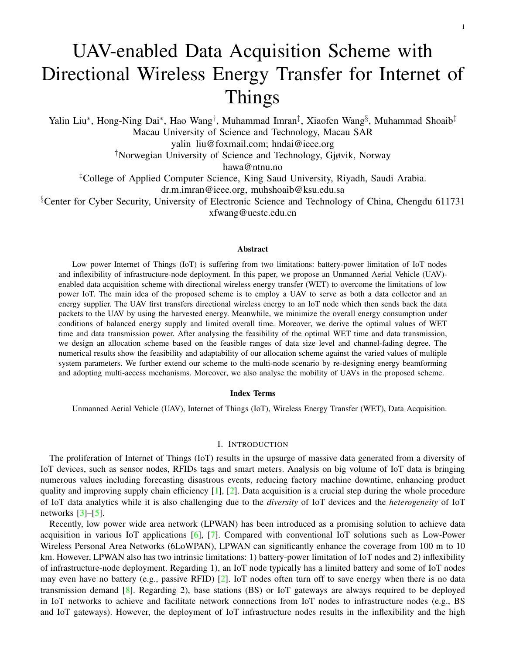

<span id="page-2-0"></span>Fig. 2. A UAV-enabled data acquisition consisting of four steps

This optimization problem is subject to sufficient energy supply and the maximum overall time. *To the best of our knowledge, this work is the first to explore the controllable WET scheme for UAV-enabled communication tasks*. The proposed scheme can be easily extended to a general scenario consisting of multiple IoT nodes and multiple UAVs, in which a UAV can transfer radio energy to IoT nodes in a merry-go-round manner (i.e., one by one) and multiple UAVs can essentially cover a wider area.

The main contributions of this paper are summarized as follows.

*The first contribution is proposing UAV-enabled data acquisition scheme with WET*. In particular, we consider that a dispatched UAV serving as the data collector will fly over a pre-determined area containing IoT nodes and conduct data acquisition tasks. Without loss of generality, we assume that there must be a UAV control center responsible for UAV's dispatching, path planning, and the resource pre-allocation as shown in Fig. [1.](#page-1-0) When the UAV flies to an IoT node and activates the IoT node, the data acquisition task starts. We consider the UAV mounted with an antenna array with  $N$  antenna elements to generate BF energy signal for a directional WET. In order to achieve a successful and controllable task, we design a four-step communication process for every data acquisition task: 1) IoT-node activation, 2) IoT-node localization, 3) wireless energy transferring, 4) data transmission.

*Second, we formulate an energy minimization problem to maximize the overall energy efficiency during WET and data transmission*. This optimization problem is subjected to two constraints: balanced energy supply and limited overall time. We then obtain closed-form expressions of the optimal WET time and data transmission power after solving the optimization problem. The optimal solution gives two options for adapting the different value ranges of system parameters (for simplification, we redefine a joint system parameter - channel fading degree to explain the meaning of two ranges). The first-case solution can offer a more stable energy harvesting and data transmitting power for the IoT node because it supports a more flexibly value for overall time in a better channel fading range. The second-case solution supports the fixed overall time (at its maximum value) but the data transmitting power is not so stable because of the worse channel fading range adapted in this solution.

*Last, we design a resource allocation scheme based on the optimal solutions in the energy minimization problem*. In particular, two allocation functions are proposed to adapt the different ranges of channel fading degree. We analyse the feasibility of our scheme by substituting the numerical values of system parameters (such as distance, path loss and fading distribution). Accordingly, we get the specific allocation values for WET time and data transmitting power. We demonstrate that our scheme is feasible since allocation parameters fall into the feasible ranges of system parameters. We also show that the allocation parameters are adjustable with the varied values of system parameters. Moreover, we also extend our analysis to the multi-node scenario and investigate the mobility of UAVs.

The rest of this paper is organized as follows. Section  $\Pi$  introduces the design of the communication procedure and system models. In Section [III,](#page-5-0) we formulate the optimization problem and derive the optimal solution. Section [IV](#page-7-0) presents a feasible allocation scheme. Section  $V$  gives numerical results of the proposed allocation scheme and its performance. Section [VI](#page-13-0) presents the extension of our scheme for multiple nodes and discusses the mobility of UAVs. In Section [VII,](#page-15-0) we conclude this paper.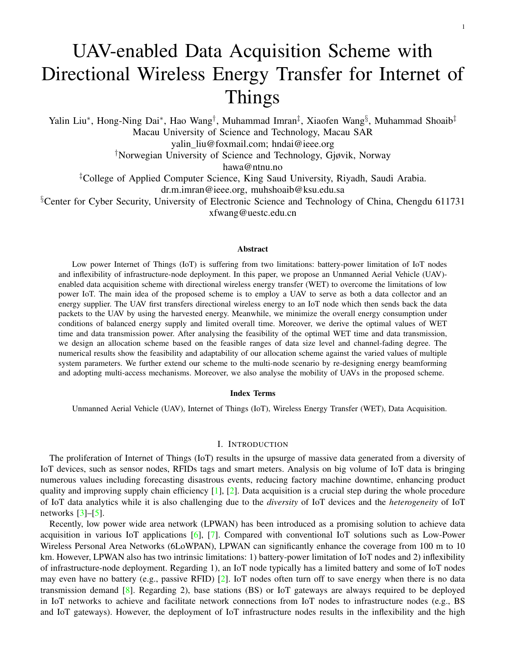TABLE I FOUR-STEP COMMUNICATION PROCESS IN ONE TASK

<span id="page-3-2"></span>

| <b>Step 1</b> The UAV broadcasts a wake-up signal to the IoT node.                           |
|----------------------------------------------------------------------------------------------|
| <b>Step 2</b> The IoT node transmits a feedback signal to the UAV.                           |
| <b>Step 3</b> The UAV transmits the BF energy signal to the IoT node toward its orientation. |
| <b>Step 4</b> The IoT node uses harvested energy to transmit its sensed data.                |

## II. UAV-ENABLED DATA ACQUISITION

<span id="page-3-0"></span>Section [II-A](#page-3-1) gives communication design of a data acquisition and Section [II-B](#page-4-0) shows the mathematical model in data acquisition.

## <span id="page-3-1"></span>*A. Communication design*

We assume that the trajectory path and battery storage of every UAV are pre-allocated by a remote ground control node (or a UAV control center) [\[28\]](#page-19-14). The UAV control center can designate UAVs to complete data acquisition tasks according to prior knowledge including the distribution of IoT nodes, locations of IoT nodes and amount of sensed data. Thus, one dispatched UAV can hover in the location of the IoT node one by one to conduct WET and data transmission along the designed path [\[17\]](#page-19-6), [\[18\]](#page-19-7), [\[29\]](#page-19-15). Additionally, we consider that the UAV control center pre-defines the fixed maximum threshold of energy transmit power (a.k.a. WET power for simplicity) and a maximum threshold of overall time for one task. Given the fixed WET power and a directional BF vector (mainly influenced by wireless channel), the WET time of every task depending on the energy demand of data transmission is sensitive to the wireless link. Thus, we can obtain the optimal wireless energy supply scheme by controlling WET time.

The IoT nodes may not have the data to transmit all the time (e.g., some IoT nodes may collect the data monthly), even though general communication networks in IoT can provide reliable and periodical communications. This phenomenon is especially serious for those nodes constrained by battery and coverage since they have neither enough energy nor the available data receivers. Hence, we use the radio frequency (RF) wake-up mechanism from  $[30]$ ,  $[31]$  to provide an on-demand data acquisition, in which the UAV transmits a wake-up signal to the IoT node and then the IoT node is activated upon detecting enough power from the wake-up signal. Compared with periodic-based communications in LPWAN, RF wake-up mechanism is more flexible and suitable for data acquisition applications with sporadic transmissions especially for those IoT nodes in deployment-constrained areas.

Combining the wake-up mechanism with WET and data transmission, we design a 4-step communication process in one data acquisition task (we call it *one task* for simplicity in rest of this paper) as shown in Fig. [2.](#page-2-0) We consider that the UAV flies above an IoT node along the predefined trajectory. Then the UAV hovers over a rough position upon the IoT node and conducts a communication with the IoT node through the following four steps. In *Step 1*, the UAV wakes the IoT node up by broadcasting an activation signal [\[30\]](#page-19-16). In this step, the IoT node is activated by detecting enough power from the wake-up signal. In a general case, given a certain height, the received power at IoT nodes depends on the power of the wake-up signal. For simplicity, we assume that the power of the wake-up signal is large enough to activate IoT nodes. This *large enough* power value can be computed and designed by UAV control center. After *Step 1*, the IoT node then conduct *Step 2*, i.e., transmitting a feedback signal to UAV. In this step, the UAV can obtain a more specific orientation of the IoT node by analysing the feedback signal via the multi-antenna array [\[11\]](#page-19-18), [\[32\]](#page-19-19), [\[33\]](#page-19-20). In *Step 3*, The UAV transmits the BF energy to the IoT node. Then, in *Step 4*, the IoT node uses the harvested energy to transmit its sensed data to the UAV. Table [I](#page-3-2) summarizes the four steps.

The first two steps are designed for activation and positioning of the IoT node, thereby paving the way for WET and data transmission. The last two steps are more crucial to accomplish data acquisition than the first two steps. It is worth noting that the wake-up time delay is much smaller than the data transmit time. As a result, the delay will not affect most opportunistic sensing applications. Recent work [\[31\]](#page-19-17) has confirmed this observation. Additionally, to investigate a controllable energy supply, we focus on the resource allocation and modelling in last two steps. Moreover, it is necessary to fulfill two goals in last two steps: 1) *achieving the balance between the energy supply*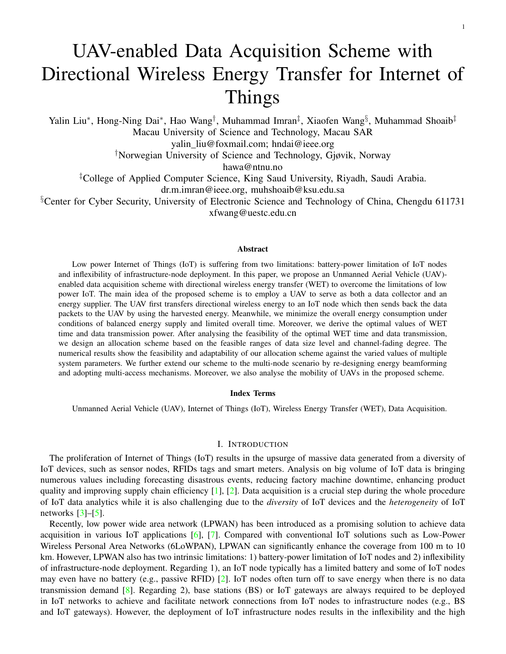*and demand*; 2) *limiting the overall time of WET and data transmission*. These two goals can be mapped to the following two conditions, respectively:

*Balanced Energy Supply*. The harvested energy at the IoT node is required to suffice for energy consumption in data transmission. This condition can help to achieve the highest energy efficiency because the entire harvested energy is used for data transmission without waste. Note that energy supply being higher than energy consumption is a more general consideration to ensure sufficient and reliable energy supply. To simplify the analysis, we refer the (sufficient) harvested energy to the supplied energy, which is essentially equal to the consumed energy for data transmission.

*Limited Overall Time*. The overall time spent at one data acquisition task must be smaller than the maximum threshold value to fulfill the time limitation. In this paper, the overall time is mainly composed of the WET time and the data transmission time while the time spent on the activation process is so small (e.g.,  $8 \mu s$  as in [\[34\]](#page-19-21)) that it can be ignored<sup>[1](#page-4-1)</sup>.

## <span id="page-4-0"></span>*B. Communication Model*

Notably, in our model, we do not consider the flying/hovering power of UAVs because many recent studies such as  $[36]$ – $[38]$  analysed the power consumption caused by UAVs' flying or hovering though it is much larger than that of wireless communications. Moreover, We extend the analysis to the mobile scenario of UAVs in Section [VI.](#page-13-0)

*1) The wireless link:* We assume that a UAV is equipped with a phase-array directional antenna consisting of N antenna elements and an IoT node is equipped with a single omnidirectional antenna. Thus, the wireless link between a UAV and an IoT node can be characterized by a vector  $h \n\supseteq C^{N-1}$ , where  $C^{N-1}$  denotes the space of  $N$  1 complex matrices. We assume that the UAV hovers at a fixed position after the activation process to ensure the directional WET link to the IoT node. Besides, the communication link for ground-to-aerial (G2A) channel/aerial-to-ground (A2G) channel offers a good approximation for the practical G2A/A2G model when the UAV is above a certain altitude, which has been verified by Qualcomm [\[39\]](#page-19-24).

2) The BF energy signal: We denote the BF energy signal by  $S \supseteq C^{N-1}$ . Referring to the energy beamforming model in  $[21]$ ,  $[40]$ , the expression of BF energy signal is given by

$$
s = \sqrt{P_{ET}} w x,
$$

where  $w \nightharpoonup 2$  C<sup>N</sup> <sup>1</sup> denotes the BF vector, x denotes the normalized energy signal, and  $P_{ET}$  denotes the power spectrum density constraint for each sub-band. Referring to [\[40\]](#page-20-0), the inequality  $k\mathbf{s}k_2^2$   $P_{ET}$  always holds to ensure the controllable range of WET power. In this paper, we will design **w** as a normalized vector, i.e.,  $k$ **w** $k_2^2$  = 1. Then  $P_{ET}$  becomes practical energy transmitting power, for simplicity, we call  $P_{ET}$  as WET power in later description.

It is worth mentioning that BF vector is used to achieve directional WET along the IoT node's orientation. BF vector can be specifically generated by using the estimated channel matrix, i.e.,  $\mathbf{w} = \mathbf{v}_1 / k\mathbf{v}_1 k$ , where  $\mathbf{v}_1$  is an eigen-vector that matches with the maximum eigenvalue  $\lambda_1$  of matrix H being the co-variance matrix of  $h$ , i.e.,  $H = h h<sup>H</sup>$ . The expression  $v_1 / k v_1 k$  comes from the energy harvesting maximum problem as given in Appendix A. The solution of this problem leads to an optimal BF vector w that contains the direction of the IoT node. The optimal BF vector leads to the maximum harvested power  $\lambda_1 P_{ET}/k v_1 k^2$  at the IoT node. Hence, in rest of this paper, we use  $\mathbf{v}_1 / k \mathbf{v}_1 k$  to represent the BF vector.

*3) The overall time:* The overall time containing WET and data transmitting is denoted by T. Let the maximum threshold of T be  $T^{max}$ . Hence,  $T T^{max}$  represents the condition of limited overall time. Let  $\alpha$  denote the portion part of WET time where  $0 < \alpha < 1$ . Then  $\alpha T$  represents the time of WET (a.k.a. *WET time* for simplicity in the rest of this paper) and  $(1 \alpha)T$  represents the time for data transmission. Note that the time of signal conversion in energy harvesting and the time in data processing can be negligible because they are much smaller than the overall time T.

<span id="page-4-1"></span><sup>1</sup>Kindly note that recent studies such as  $[31]$ ,  $[34]$ ,  $[35]$  analysed the performance (like delay and energy consumption) of the activation process of low-power IoT nodes. So, we omit the analysis of the activation process in this paper.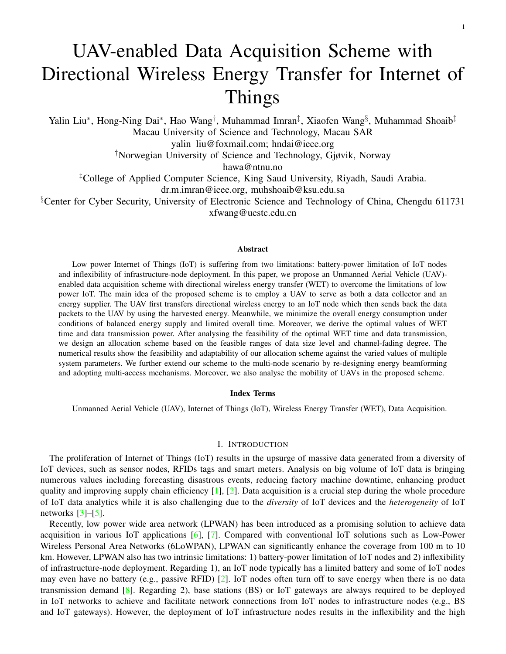*4) The supplied energy:* The supplied energy of one IoT node in a task is denoted by  $e_{EH}$ , which is expressed as follows,

$$
e_{EH} = \zeta \alpha T \frac{\lambda_1 P_{ET}}{k \mathbf{v}_1 k^2},\tag{1}
$$

where  $0 < \zeta$  1 denotes the constant energy conversion efficiency that is the energy loss degree from the received signal to electric energy [\[22\]](#page-19-26), [\[41\]](#page-20-1),  $\alpha T$  is WET time and  $\lambda_1 P_{ET}/k v_1 k^2$  is harvested power of the received signal.

*5) The data transmission:* We denote the data transmission power by p and denote the data transmission size by l. According to Shannon–Hartley theorem  $[42]$ , we can construct the achievable data transmission rate, which is

$$
r = B \log_2 \left( 1 + \frac{p \text{tr}(\mathbf{H})}{N_{noise}} \right),
$$

where B is the transmission bandwidth and  $N_{noise}$  is the noise power. The data transmission time is equal to  $l/r$ . We then have the time equality  $l/r = (1 \alpha)T$  and further derive the expression of T as follows,

<span id="page-5-1"></span>
$$
T = \frac{l}{(1 - \alpha)r}.\tag{2}
$$

We next have the consumed energy at IoT nodes during data transmission, denoted by  $e_{DT}$  as follows,

$$
e_{DT} = p(1 \quad \alpha)T. \tag{3}
$$

Herein, we assume that  $p$  can be controlled by the UAV. This assumption is feasible via transmitting the expected value of  $p$  to the IoT node via the downlink.

*6) Overall Energy Consumption:* Let eoverall be the overall energy consumption in one data acquisition task. We have

$$
e_{overall} = \text{tr}(\mathbf{ss}^H)\alpha T = P_{ET}\text{tr}(\mathbf{w}\mathbf{w}^H)\alpha T = P_{ET}\alpha T,\tag{4}
$$

where  $w w^H = v_1 v_1^H / k v_1 k^2 = I$  is the covariance matrix of w. Obviously, the overall energy consumption in one task is equal to WET energy consumption at the UAV.

# III. PROBLEM FORMULATION

<span id="page-5-0"></span>To find out the optimal energy supply solution while maintaining high energy efficiency, we adopt the minimization of the overall energy consumption in a task as the objective and both the balanced energy supply and limited overall time as the constraints.

## *A. Energy consumption minimization problem*

We mainly consider three controllable system parameters: overall time T, WET time factor  $\alpha$  and data transmission power p. The other system parameters are either fixed as prior knowledge (such as WET power, amount of sensed data, communication bandwidth) or uncontrollable parameters (such as channel fading, noise, and energy conversion efficiency). Here, the fixed value setting of WET power is to ensure a controllable wireless energy harvesting by only changing the WET time  $\alpha T$ . Therefore, we construct an overall energy minimization problem by optimizing  $p, \alpha$  and T as follows:

$$
(P1): \min_{p,T,\alpha} e_{overall} \tag{5a}
$$

$$
\text{s.t.} \quad e_{EH} = e_{DT}, T \; 2 \; (0, T^{\text{max}}] \tag{5b}
$$

where  $e_{EH} = e_{DT}$  represents a balanced energy supply for a generally consideration and T  $T^{\text{max}}$  is the condition of *Limited Overall Time*. The optimal solution in P1 can be used to adjust the data acquisition task in an optimal energy supply-and-demand. For example, multiplying the optimal data transmission power  $p$  by the optimal data transmission time  $(1 \alpha)T$ , we get the optimal energy consumption for data transmission demand; multiplying the WET power  $P_{ET}$  by the optimal WET time  $\alpha$  T, we get the optimal energy supply in WET.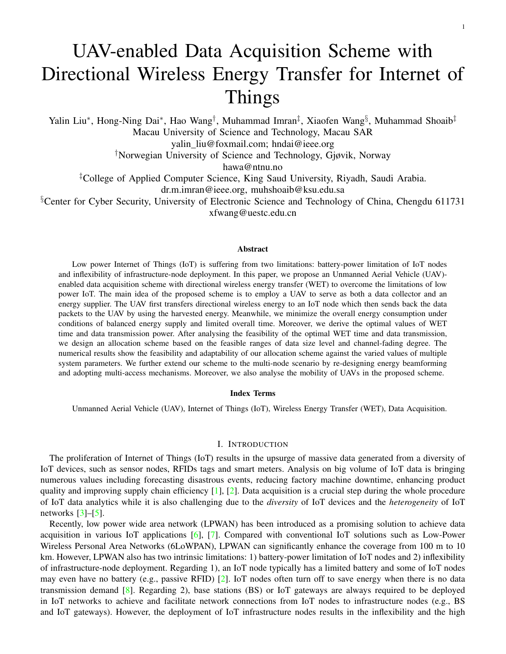# *B. Optimal solution*

Due to fading characteristics of the wireless channel, both WET and data transmission processes are sensitive to the diverse channel fading effects, leading to unstable energy supply-and-demand in a task. Hence, we find that the optimal solution of energy supply-and-demand is related to the channel fading and also constrained by the feasible range of the channel-fading. In order to simplify the analysis of our solution, we define  $\kappa = \frac{N_{noise}}{\epsilon N_{B}}$  $\overline{\zeta \lambda_1 P} \frac{\text{tr}(H)}{\text{kV}_1 \text{k}^2}$ as a joint channel-fading degree that will be used to represent the feasible condition of our optimal solution. Obviously,  $\kappa$ represents a system-fading degree in terms of the wireless channel, noise and also energy conversion. We observe that, the smaller value of  $\kappa$  indicates a better communication condition.

Solving  $P1$ , we derive the optimal solution as shown in Theorem [1.](#page-6-0)

<span id="page-6-0"></span>Theorem 1. P1 *has two optimal solution for two cases: Case 1 If channel-fading degree* κ *is in the range specified as follows,*

<span id="page-6-3"></span><span id="page-6-1"></span>
$$
0 < \kappa \quad \frac{T^{\max}B}{3l} \quad \frac{1}{2}, \tag{6}
$$

*then the optimal solution is*

$$
T_1^{opt} = \frac{3l(2\frac{N_{noise}}{tr(H)} + \zeta \frac{\lambda_1 P_{ET}}{k v_1 k^2})}{2B\zeta \frac{\lambda_1 P_{ET}}{k v_1 k}},
$$
(7a)

$$
p_1^{opt} = 2 \frac{N_{noise}}{tr(H)},
$$
\n(7b)

$$
\alpha_1^{opt} = \frac{2N_{noise}}{\zeta \frac{\lambda_1 P_{ET}}{k v_1 k^2} tr(H) + 2N_{noise}},
$$
\n(7c)

In this case,  $T_1^{opt} < T^{\text{max}}$  always holds (i.e., the overall time is smaller than the upper limit  $T^{\text{max}}$ ). *Case 2 If channel-fading degree* κ *is in the range specified as follows*

<span id="page-6-4"></span><span id="page-6-2"></span>
$$
0 < \kappa < 2\left(1 + \frac{T^{\max}B}{l}\right),\tag{8}
$$

*then the optimal solution is*

$$
T_2^{opt} = T^{\text{max}},\tag{9a}
$$

$$
p_2^{opt} = \frac{\zeta T^{\max} B}{l \ln(2)} \frac{\lambda_1 P_{ET}}{k V_1 k^2} W(\tau) \frac{N_{noise}}{tr(H)}, \tag{9b}
$$

$$
\alpha_2^{opt} = \frac{\frac{\zeta T^{\max} B}{l \ln(2)} \frac{\lambda_1 P_{ET}}{k v_1 k^2} W(\tau) \frac{N_{noise}}{tr(\mathbf{H})}}{\zeta \frac{\lambda_1 P_{ET}}{k v_1 k^2} \frac{\zeta T^{\max} B}{l \ln(2)} \frac{\lambda_1 P_{ET}}{k v_1 k^2} W(\tau) \frac{N_{noise}}{tr(\mathbf{H})}},
$$
(9c)

*where*  $W(\tau)$  *is Lambert Function* [\[43\]](#page-20-3) *and*  $\tau$  *is given by* 

$$
\tau = \frac{N_{noise}}{tr(H)} \frac{l \ln(2)}{\zeta T^{\max} B \frac{\lambda_1 P_{ET}}{k v_1 k^2}}
$$

$$
2^{\frac{l}{T^{\max} B} \left(1 - \frac{N_{noise}}{\zeta r(H) \frac{\lambda_1 P_{ET}}{k v_1 k^2}}\right)}.
$$

In this case,  $T_2^{opt} = T^{\text{max}}$  always holds (i.e., the overall time is equal to  $T^{\text{max}}$ ).

*Proof*: The proof for Theorem [1](#page-6-0) is given in Appendix B.

*Remark 1*: The derivation of Theorem 1 comes from inequality of limited time condition (i.e., T  $T^{max}$ and equality of energy-supply condition (i.e.,  $e_{EH} = e_{DT}$ ). In particular, there are two cases for the condition  $T$  T<sup>max</sup>: *Case 1* for  $T < T$ <sup>max</sup> and *Case 2* for  $T = T$ <sup>max</sup>. In addition,  $e_{EH} = e_{DT}$  holds to avoid unnecessary energy consumption from UAV and also satisfy the minimized overall energy consumption. Caused by energysupply equality  $\alpha^{opt}T^{opt}\zeta\lambda_1P_{ET}/k\mathbf{v}_1k^2 = (1 \alpha^{opt})T^{opt}p^{opt}$ , a general expression between the optimal WET time factor and the optimal data transmission power denoted by  $\alpha^{opt} = \frac{p^{opt}}{e^{\lambda_1 P_{ET}}}$  $\frac{p^{\nu} \mu}{\zeta \frac{\lambda_1 P_{ET}}{\lambda_1 \gamma_1 \kappa^2} + p^{\circ pt}}$ . This expression always holds in two cases. We observe that the optimal WET time factor is also related to the optimal data transmission power.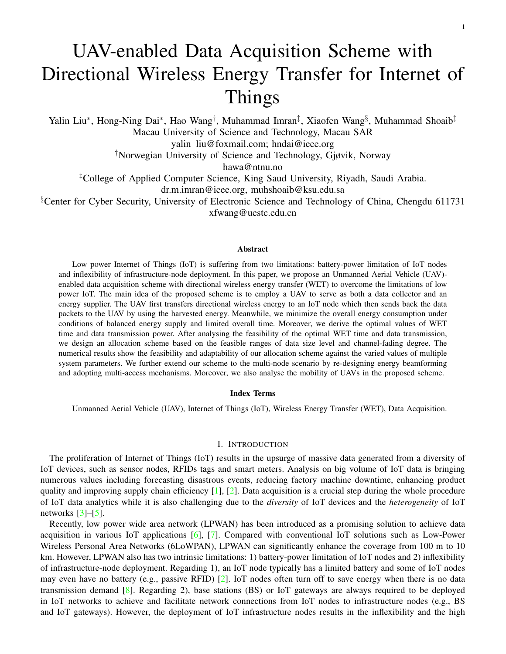## *C. Feasibility analysis*

Since the overall time and the WET time factor are essentially determined by  $\alpha \neq (0,1)$  and  $T$  T<sup>max</sup>, their optimal values in Theorem [1](#page-6-0) are thereby feasible. However, no limitation on data transmission power  $p$  may lead to the in-feasibility of the optimal value of p. To ensure the feasibility of  $p^{opt}$ , we set a limit on  $p^{opt}$ . We denote the upper bound of  $p^{opt}$  by  $p^{max}$ . Then the optimal values of data transmission power in two cases denoted by  $p_1^{opt}$ and  $p_2^{opt}$  are limited by  $p_1^{opt}$   $p_1^{\text{max}}$  and  $p_2^{opt}$   $p_1^{\text{max}}$ , respectively. Solving two above inequalities, we derive two respectively.  $\frac{\partial pt}{2}$  are limited by  $p_1^{opt}$  $\varphi_1^{opt}$  p<sup>opt</sup> and  $p_2^{opt}$  $p_2^{opt}$   $p_{\text{max}}$ , respectively. Solving two above inequalities, we derive two constraints on channel fading degree corresponding to *Case 1* and *Case 2* in Theorem [1](#page-6-0) as follows:

<span id="page-7-1"></span>
$$
0 < \kappa \quad \frac{p^{\max}}{2\zeta \frac{\lambda_1 P_{ET}}{k\mathbf{v}_1 k^2}} \text{ (for Case 1)},\tag{10}
$$

<span id="page-7-2"></span>
$$
0 < \kappa \quad \frac{1}{\zeta \frac{\lambda_1 P_{ET}}{k \mathbf{v}_1 k^2}} \quad \frac{p^{\max}}{2^{\frac{l}{T^{\max} B} \left(1 + \frac{p^{\max}}{\zeta \frac{\lambda_1 P_{ET}}{k \mathbf{v}_1 k^2}\right)}}} \quad \text{(for Case 2).} \tag{11}
$$

Plugging Eq. [\(10\)](#page-7-1) into the previous constraint Eq. [\(6\)](#page-6-1), we update the feasible channel-fading range for *Case 1* as

$$
0 < \kappa \quad \min\left(\frac{T^{\max}B}{3l} \quad \frac{1}{2}, \frac{p^{\max}}{2\zeta \frac{\lambda_1 P_{ET}}{k_{\mathbf{v}_1}k^2}}\right). \tag{12}
$$

Meanwhile, plugging Eq. [\(11\)](#page-7-2) into Eq. [\(8\)](#page-6-2), we obtain the feasible channel-fading range for *Case 2* as

$$
0 < \kappa < \min\left(2 + \frac{2T^{\max}B}{l}, \frac{1}{\zeta \frac{\lambda_1 P_{ET}}{k_{\mathbf{v}_1} \kappa^2}} - \frac{p^{\max}}{2^{\frac{l}{T^{\max}B}(1 + \frac{p^{\max}}{\zeta \frac{\lambda_1 P_{ET}}{k_{\mathbf{v}_1} \kappa^2}})} - 1\right). \tag{13}
$$

Up to now, we have obtained two optimal solutions in Theorem [1](#page-6-0) and two updated feasible ranges of channelfading degree  $\kappa$ . We can allocate the optimal values of WET time and data transmission power as long as the practical channel-fading degree is within the feasible ranges. The only remaining problem is to conduct the statistic analysis for optimal solution and to find its feasibility for practical deployment. We will analyse this issue in the next section.

# IV. THE ALLOCATION DESIGN

<span id="page-7-0"></span>In this section, we will first conduct the statistic analysis for the optimal solution and then design our allocation scheme through the analytical results.

## <span id="page-7-3"></span>*A. Statistic analysis*

Before conducting our analysis, we need to specify the channel model and system parameters, catering for the practical scenarios. In particular, we adopt the general wireless channel model  $h = \sqrt{\overline{h_0}} h$ , with  $h_0$  being the largescale fading variable and  $h \, 2 \, \text{C}^{N-1}$  being an N-dimensional small-scale fading variable. It is worth mentioning that the small fading component may limit the practical communication range (less than 100 meters) due to the energy-harvesting constraint. In addition, due to the high altitude of the UAV,  $h_0$  depends on the probabilistic combination of Line-of-sight (LoS) and Non-line-of-sight (NLoS) links [\[44\]](#page-20-4), [\[45\]](#page-20-5). We derive the expression of  $h_0$ in the following lemma.

<span id="page-7-4"></span>**Lemma 1.** Given the probabilistic LoS/NLoS path loss, the large-scale fading value  $h_0$  can be given by

$$
h_0 = \left(\frac{d_0 f_c 4\pi}{c}\right)^{-2} d^{\text{Pr}_{LOS}(\varepsilon_{NLoS} - \varepsilon_{LoS}) - \varepsilon_{NLoS}},
$$

*where*  $d_0$  *is the unit distance* 1m,  $f_c$  *is the carrier frequency, c is the speed of light, d is the distance from the UAV to the IoT node and* PLoS *is the LoS probability given by* 1/(1 + χexp( χ[θ ξ]))*. In* PLoS*,* χ*,*ξ *are associated* with the surrounding environment,  $\theta$  is the UAV elevation angle that is given by  $\frac{180}{\pi}$  arcsin $(h_{uav}/d)$ ,  $H_{uav}$  is the *UAV height, and*  $ε_{LoS}$ ,  $ε_{NLoS}$  *are the path loss exponents for the LoS link and the* NLoS link, respectively.

*Proof.* The proof is given in Appendix C.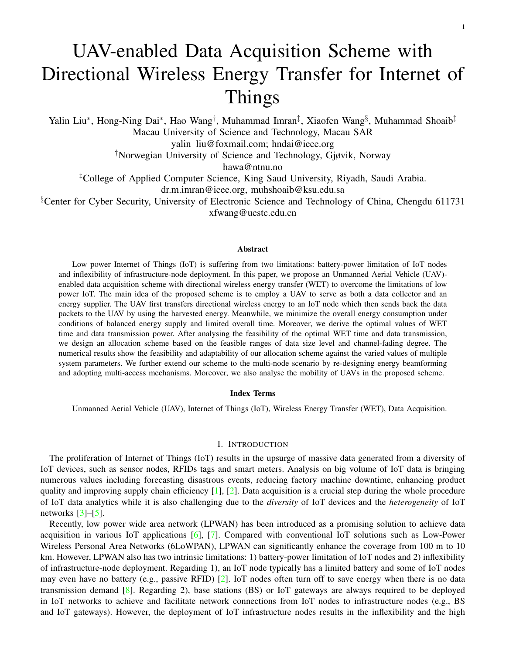<span id="page-8-0"></span>

| <b>Fixed Parameters</b>         | <b>Values</b>               |
|---------------------------------|-----------------------------|
| Maximum overall time            | $T^{max} = 1s$              |
| Transmitting bandwidth          | $B = 15MHz$                 |
| The carrier frequency           | $fc = 900MHz$               |
| Energy conversion efficiency    | $\eta = 0.7$                |
| Path loss exponent of LoS       | $\epsilon_{LoS} = 2$        |
| Path loss exponent of NLoS      | $\epsilon_{NLoS} = 2.5$     |
| Environment parameters          | $\chi = 4.88, \xi = 0.429$  |
| Noise Power                     | $N_{noise} = 10^{-9}W$      |
| Minimum threshold of EH power   | $P_{EH,min} = -83dBm$       |
| WET power                       | $P_{ET} = 10W$              |
| Maximum data transmitting power | $p^{\text{max}} = 0.1W$     |
| <b>Variable Parameters</b>      | <b>Ranges</b>               |
| the number of antenna elements  | $N \in \{8, 16\}$           |
| The UAV Height                  | $H_{uav} \in \{25, 50\}$ m  |
| Data size                       | $l \in \{10^4, 10^5\}$ bits |

TABLE II PARAMETER SETTINGS

Moreover, we denote the additional loss of shadowing or scattering of the channel by  $h$ , in which each entry (or element) is an independent and identically distributed (i.i.d.) circular symmetric complex Gaussian random variable with zero mean and unit variance.

We choose the system parameters as shown in Table  $II$ , including both the fixed and variable values. Note that our approaches can also be applied to other system settings<sup>[2](#page-8-1)</sup>. The variable parameters (including  $N, H_{uav}$ , l in Table [II\)](#page-8-0) will be used as independent variables to analyse the performance of our system.

$$
H_{uav}
$$
 
$$
H_{uav} = \left\{ \frac{H_{uav}}{\theta} \right\}
$$
  $d \in \{H_{uav}, H_{uav}/\sin(\theta)\}$ 

<span id="page-8-2"></span>Fig. 3. Relationship between the elevation angle  $\theta$ , the UAV height  $H_{uav}$  and the achievable distance d.

In our analysis, we adopt the minimum elevation angle of the UAV by 30. Thus, given a fixed height  $H_{uav}$ , the UAV can cover the IoT node with the distance d. The distance d falls in the range of  $(H_{uav}, H_{uav}/\sin(30))$ , which can be calculated through the triangular relation as shown in Fig. [3.](#page-8-2) For example, when the UAV flies at the height  $H_{uav} = 25$ m, the distance range d falls into (25m 50m). Accordingly, we perform the following statistic analysis with the results being obtained by averaging over 500 randomized channel realizations. Note that the above parameters are specifically chosen though our approaches can be also applied to other system settings.

<span id="page-8-3"></span>*1) Validity of the optimal solution:* We analyse the validity of feasible channel fading ranges in two cases (i.e.,  $(0, \kappa_1]$  and  $(0, \kappa_2)$ ). We compare statistic results of the practical channel fading degree  $\kappa$  and the upper bound of two feasible ranges (i.e.,  $\kappa_1$  and  $\kappa_2$ ). We then investigate whether the practical value of channel fading degree exists in two feasible ranges.

Comparing Fig. [4\(a\)](#page-9-0) and Fig. [4\(b\)](#page-9-1) (data size  $l = 10^4$ bits) with Fig. [4\(c\)](#page-9-2) and Fig. [4\(d\)](#page-9-3) (data size  $l = 10^5$ bits), respectively, we observe that the increasing value of data size leads to narrower feasible range of channel fading for both two cases of solutions. This phenomenon shows that the heavier data load brings weaker adaptability in

<span id="page-8-1"></span><sup>&</sup>lt;sup>2</sup>We choose the carrier frequency of  $900MHz$  to cater to longer propagation distance compared to the frequency of 2.4GHz in the practical RF-based energy harvesting circuit [\[46\]](#page-20-6). In contrast, the radio signal in high carrier-frequency such as 2.4GHz suffers the rapid propagation loss. In addition, the values of the environment parameters ( $\chi = 4.88, \xi = 0.429$ ) are calculated through the Suburban statistic parameters (0.1, 750, 8) given by [\[45\]](#page-20-5).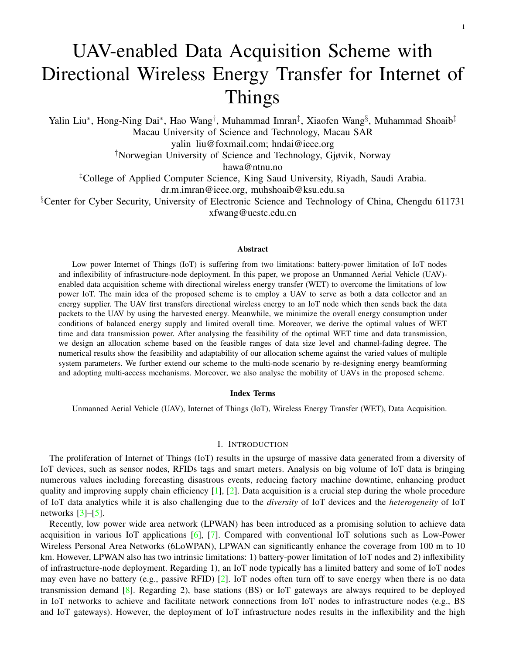<span id="page-9-1"></span><span id="page-9-0"></span>

<span id="page-9-4"></span><span id="page-9-3"></span><span id="page-9-2"></span>Fig. 4. Channel fading degree  $\kappa$  and upper bound of channel fading ranges (i.e.,  $\kappa_1$  and  $\kappa_2$ ) versus the distance d, the number of antenna elements  $N$  and the data size  $l$ .

channel fading range (because of fixed  $T^{max}B$ ). Meanwhile, comparing Fig. [4\(a\)](#page-9-0) and Fig. [4\(c\)](#page-9-2) (the number of antenna elements  $N = 8$ ) with Fig. [4\(b\)](#page-9-1) and Fig. [4\(d\)](#page-9-3) (the number of antenna elements  $N = 16$ ), respectively, we observe that the more antenna elements bring broader feasible range of channel fading for both two cases of solutions. This phenomenon indicates that we can choose a larger antenna consisting of more elements for the harsh communication environment (i.e., the worse propagation).

We also observe that there are two intersections in each sub-figure of Fig. [4.](#page-9-4) In particular, in Case 1, the upper bound of the feasible range intersects with the practical channel fading degree  $\kappa$  at  $d = d_1$ . In Case 2, the upper bound of the feasible range intersects with the practical channel fading degree  $\kappa$  at  $d = d_2$ . Accordingly, we analyse the practical range of the distance  $d$  when channel fading degree falls into two feasible ranges. First, the value of  $\kappa_1$  is larger than the value of  $\kappa$  when  $d < d_1$ , implying that the first case of solution is valid and applicable under the distance limit d<sub>1</sub>. Second, the value of  $\kappa_2$  is larger than the value of  $\kappa$  when  $d < d_1$ , implying that the second case of solution is applicable under the distance limit  $d_2$ . Specifically,  $d_2 = 53m$ ,  $d_1 = 61m$  in Fig. [4\(a\)](#page-9-0) while  $d_2 = 68$ m,  $d_1 = 72$ m in Fig. [4\(b\),](#page-9-1) which shows both two cases based on  $l = 10^4$ bits,  $N = 16$  are valid in longer distance than that when  $l = 10^4$ bits,  $N = 16$ . Moreover,  $d_1 = 34$ m in Fig. [4\(c\)](#page-9-2) and  $d_1 = 41$ m in Fig. [4\(d\)](#page-9-3) show only the Case 1 is valid in their corresponding distance ranges (25m  $34\,\text{m}$ ) and (25m  $41\,\text{m}$ ). The value of  $d_2$ is beyond the scope of Fig.  $4(c)$  and Fig.  $4(d)$ ; this means the too longer distance (longer than 25m) resulting in Case 1.

*2) Three joint parameters of the optimal solution:* We observe that all optimal solutions in Theorem [1](#page-6-0) are determined by three joint expressions, i.e.,  $l/T^{max}B$ ,  $\zeta\lambda_1P_{ET}/k\mathbf{v}_1k^2$  and  $N_{noise}/tr(\mathbf{H})$ . It means that a single system parameter (such as l,  $T^{max}$ , B,  $\zeta$ ,  $\lambda_1$ ,  $P_{ET}$ ,  $k\mathbf{v}_1 k^2$ ,  $N_{noise}$  and  $\text{tr}(\boldsymbol{H})$ ) has no conclusive impact on optimal solution. In the same joint expression, two or more system-parameters have joint impacts on the optimal value. For instance, increasing l to 3 times and reducing  $T^{max}$  to 3 times have the same impact on the optimal solution because l and  $T^{max}B$  are in expression  $l/T^{max}B$ . Therefore, we can analyse optimal solution based on the above three joint expressions. Meanwhile, the statistic analysis of optimal solution can also be obtained by analysing the statistic variation of those joint expressions.

For simplicity, we define three above expressions as shown in Table [III.](#page-10-0) The statistic analysis of  $(L_{DS}, P_{EH}, \kappa)$ is shown as follows.

The statistic value of data size level  $L_{DS}$  is linearly influenced by  $l, T^{max}, B$ . When we let  $T^{max} = 1$  and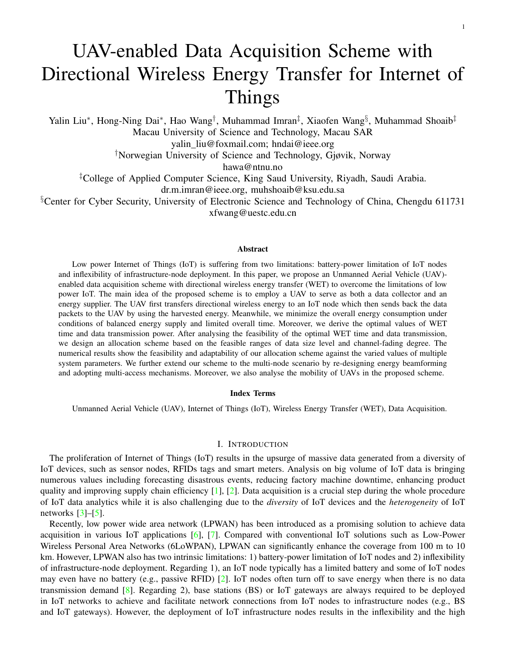TABLE III DEFINITION OF JOINT SYSTEM PARAMETERS

<span id="page-10-0"></span>

| <b>Definition</b>                                             | <b>Meaning</b>                                                                                                                                                                                                                                                                                                    |  |
|---------------------------------------------------------------|-------------------------------------------------------------------------------------------------------------------------------------------------------------------------------------------------------------------------------------------------------------------------------------------------------------------|--|
| $L_{DS} = \frac{l}{T_{\text{max}}B}$                          | The term $L_{DS}$ represents data size level of the amount of transmitting data compared with $T^{max}B$ .<br>Given the fixed value of maximum threshold $T^{max}$ and bandwidth B, the larger data transmission<br>size l leads to larger data size level $L_{DS}$ . In this paper, we set $L_{DS} \in (0, 1)$ . |  |
| $P_{EH} = \frac{\zeta \lambda_1 P_{ET}}{k_{\rm V1} k^2}$      | The term $P_{EH}$ represents the received power at IoT nodes; it depends on the energy conversion<br>efficiency, the upper limit of WET power and the maximum orientation gain between UAV and the<br>IoT node.                                                                                                   |  |
| $\frac{N_{noise}}{\text{tr}(\boldsymbol{H})} = \kappa P_{EH}$ | This joint parameter represents the channel-fading degree of the up-link channel. For simplicity, we<br>use the pre-defined channel-fading degree $\kappa$ and $P_{EH}$ to replace $N_{noise}/tr(H)$ , i.e., $\kappa P_{EH}$ .                                                                                    |  |

<span id="page-10-1"></span>

Fig. 5. Harvested power  $P_{EH}$  and channel fading degree  $\kappa$  versus the distance d and the number of antenna elements N.

<span id="page-10-2"></span>B = 15MHz, the value  $L_{DS}$  will be smaller than 1 for the data size in range  $0 < l <$  = 15 Mbits; otherwise the value  $L_{DS}$  will be larger than 1.

The statistic value of the harvested power  $P_{EH}$  is shown in Fig. [5\(a\).](#page-10-1) Obviously, the increased values of d and  $\beta$ lead to channel deterioration, further resulting in the decreased value of  $P_{EH}$ ; the more antenna elements bring more precise orientation toward the IoT nodes, leading to the larger value of  $P_{EH}$ . In one word, the harvested power drops dramatically with the increasing distance. If the system determines the minimum threshold of harvested power  $P_{EH \text{min}}$ , the curve of  $P_{EH}$  may intersect with a horizontal line  $y = P_{EH \text{min}}$  at a distance (we denote such distance as  $d_{EH \text{min}}$ ). As a result, the WET succeeds only when the distance d is shorter than the threshold  $d_{EH \text{min}}$ . In Fig. [5\(a\),](#page-10-1) if  $P_{EH \text{min}} = 83$ dBm, the setting with  $N = 16$  leads to  $d_{EH \text{min}} = 80$ m; this result implies that the WET in this situation is applicable within 80 meters.

*Statistic value of channel fading degree* κ. Fig. [5\(b\)](#page-10-2) shows the statistic value of κ against the distance d and the number of antenna elements N. We can see that the value of channel fading degree is increasing with the increased value of distance and the reduced number of antenna elements. Notably, comparing Fig. [5\(b\)](#page-10-2) with Fig. [5\(a\),](#page-10-1) we can see that the variation of channel fading degree is totally inverse to the received power. This phenomenon can be explained because any parameters variation causing channel deterioration can lead to the increasing value of channel fading, consequently resulting in the decreased value of the received power. Moreover, the statistic value of  $\kappa$  is also influenced by noise power. Moreover, the practical channel fading degree  $\kappa$  is restricted by the upper bound of two feasible channel fading ranges (i.e.,  $\kappa_1$  and  $\kappa_2$ ). The comparison of three parameters ( $\kappa$ ,  $\kappa_1$  and  $\kappa_2$ ) will be shown in Section [IV-A1.](#page-8-3)

*Remark 2*: As shown in Fig. [5\(a\),](#page-10-1) the supplied energy becomes very small when the transmitting distance over 100 m. This phenomenon is mainly caused by the channel propagation loss, the supplied energy decays exponentially with the increased distance  $[47]$ . Referring to  $[48]$ , the power strength of RF transmission is attenuated according to the reciprocal of the distance between transmitter and receiver. For example, 20 dB per decade means with the increment of distance by 10 times, the power strength is decreased by  $10^2$  times. Consequently, the significant signal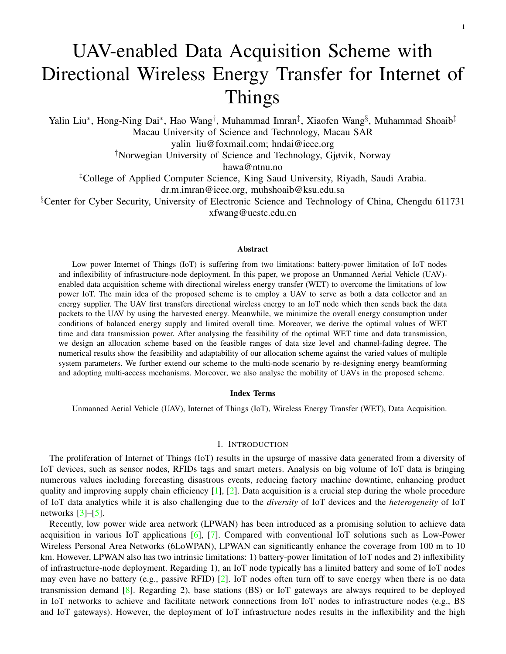TABLE IV THE ALLOCATION SCHEME FOR A DATA ACQUISITION TASK

#### <span id="page-11-0"></span>The allocation scheme for a data acquisition task

1: Initialize system parameters  $l, T^{\text{max}}, B, P_{ET}, \eta, N_{noise}, P_{EH \text{min}},$  and  $p^{\text{max}}$ . 2: Estimate the system fading parameters  $tr(\mathbf{H})$ ,  $||\mathbf{v}_1||^2$ ,  $\lambda_1$ , d. 3: Calculate the practical value of joint system parameters  $L_{DS}$ ,  $P_{EH}$ ,  $\kappa$ ,  $\kappa_1$ ,  $\kappa_2$ . 4: If  $P_{EH} > P_{EH}$  min 5: If  $\kappa \in (0, \kappa_1] \bigcap (0, \kappa_2)$ 6: Using *Allocation function 1* or *Allocation function 2* to allocate WET time and data transmitting power. 7: Else if  $\kappa \in (0, \kappa_1]$  and  $\kappa \notin (0, \kappa_2)$ 8: Using *Allocation function 1* to allocate WET time and data transmitting power. 9: End

10: End

attenuation results in the limited power transfer distance. Moreover, the RF-to-DC energy conversion efficiency is quite low especially when the harvested RF power is small.

#### <span id="page-11-1"></span>*B. Allocation scheme*

In Section [IV-A,](#page-7-3) we derive the validity condition of the optimal solution and meanwhile obtain the statistic ranges of three joint system parameters. Accordingly, we can determine the feasible distance  $d$  and then allocate the optimal values of WET time and data transmitting power for the practical allocation.

Before presenting the allocation scheme, we first determine allocation functions of WET time an data transmitting power. After substituting three joint parameters (i.e.,  $L_{DS}$ ,  $P_{EH}$ , and  $\kappa$ ) into the optimal solution of Theorem [1,](#page-6-0) two corresponding allocation functions are obtained as follows.

*Allocation function 1*:

$$
\alpha_1^{opt} T_1^{opt} = 3L_{DS} T^{\text{max}},\tag{14a}
$$

$$
p_1^{opt} = 2\kappa P_{EH}.\tag{14b}
$$

*Allocation function 2*:

$$
\alpha_2^{opt} T_1^{opt} = T^{\max} \frac{\frac{W(\tau)}{L_{DS} \ln(2)} - \kappa}{1 - \frac{W(\tau)}{L_{DS} \ln(2)} - \kappa},\tag{15a}
$$

$$
p_2^{opt} = P_{EH} \left( \frac{W(\tau)}{L_{DS} \ln(2)} \kappa \right), \tag{15b}
$$

where

 $\tau = \kappa L_{DS} \ln(2) \quad 2^{L_{DS}(1-\kappa)}.$ 

Using the above two allocation functions, we design the allocation scheme as shown Table [IV.](#page-11-0)

*Remark 3*: Our allocation scheme (as shown in Table [IV\)](#page-11-0) is based on the expressions of three joint system parameters, upper bound of channel fading degree, and also two allocation functions. By determining the feasible range of system parameters and calculating the allocation values, the proposed scheme can achieve an optimal allocation. It is worth noting that our scheme can perform well in practical scenarios because of the following three reasons.

First, all initialized parameters are available in practical scenarios. Energy conversion efficiency  $\eta$  and maximum threshold of data transmitting power  $p^{\text{max}}$  are restricted by the IoT devices and hence can be regarded as the prior knowledge. Meanwhile, the noise power  $N_{noise}$  can be set as an general value, such as 160dBm. The channel matrix tr( $H$ ) and the distance d can be estimated at the UAV via analysing the received feedback signal [\[49\]](#page-20-9).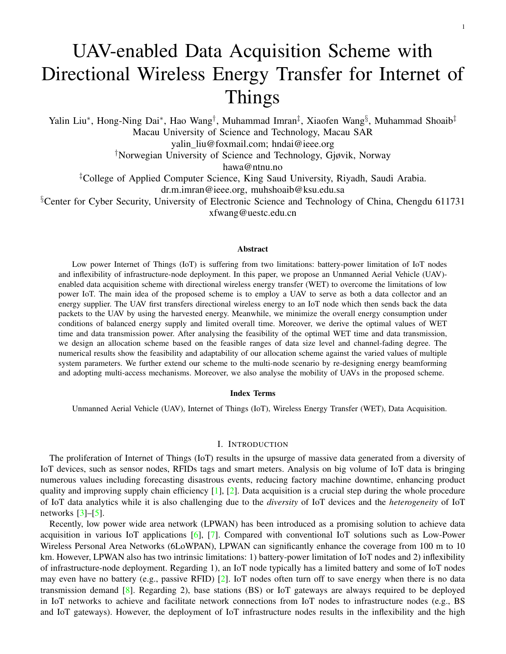<span id="page-12-3"></span><span id="page-12-1"></span>

<span id="page-12-2"></span>Fig. 6. WET time  $\alpha T$ , data transmission power p and data transmitting time  $(1 - \alpha)T$  versus distance d.

Second, all calculated expressions  $(L_{DS}, P_{EH}, \kappa, \kappa_1, \kappa_2)$  are given and verified in this paper. Therefore, the values of  $L_{DS}$ ,  $P_{EH}$ ,  $\kappa$ ,  $\kappa_1$ ,  $\kappa_2$  can be calculated by substituting all specific value of basic parameters to their corresponding expressions.

Last, the proposed scheme can offer the optimal choice after judging the feasibility of WET and the allocation function. Particularly, the condition in line 4 is used to determine whether the harvested power reaches the minimum threshold. This process is to ensure the feasibility of WET, corresponding to a restricted range  $d <$  $d_{EH}$  min in practice. To guarantee the feasibility of two allocation functions, the condition in line 5 is to determine whether the practical channel fading degree falls into both two feasible channel fading ranges, corresponding to the restricted range  $d < d_2$  in practice. Moreover, the condition in line 7 is to determine whether the practical channel fading degree is only in the feasible channel fading range of Case 2, corresponding to the restricted range  $d_2 < d < d_1$  in practice.

## <span id="page-12-4"></span>V. NUMERICAL RESULTS

<span id="page-12-0"></span>This section presents the performance evaluation of the proposed scheme. We set the system parameters (including  $T^{max}, B, f_c, \eta, \varepsilon_{LoS}, \varepsilon_{NLoS}, \chi, \xi, N_{noise}, P_{EH \text{min}}, P_{ET}, p^{\text{max}})$  as the same as those in Table [II.](#page-8-0) With exceptions, we choose the fixed values for the variable parameters in Table [II](#page-8-0) as follows:  $N = 16$ ,  $l = 10^4$ bits. For the UAV heights, we reserve two heights (25m and 50m) to show a constant distance range from 25m to 100m. Accordingly, we compute three distance thresholds:  $d_{EH \text{min}} = 80$ m (i.e., valid distance bound under minimum harvested power  $P_{EH \text{min}}$ ),  $d_1 = 72$ m (i.e., valid distance bound for *Allocation Function 1*) and  $d_2 = 68$ m (i.e., valid distance bound for *Allocation Function 2*). Obviously,  $d_2 < d_1 < d_{EH \text{min}}$ , implies the threshold distance of WET is larger than both two thresholds of *Allocation Function 1* and *Allocation Function 2*. Thus, according to the scheme of Table [IV,](#page-11-0) we observe that *Allocation Function 1* is valid when  $d \leq d_1$ ; *Allocation Function 2* is valid when  $d \leq d_2$ . This phenomenon will be further confirmed in numerical results. In following figures, we use the solid line with a circle mark and the dashed line with a cross mark to denote numerical results under the adoption of *Allocation function 1* and *Allocation function 2*, respectively. Since all numerical figures have the same legend, so we only reserve the legend in Fig. [6\(a\).](#page-12-1) Furthermore, for simplicity, we use *AF 1* and *AF 2* at the legend to represent two allocation functions.

#### *A. Allocation Value*

Fig. [6](#page-12-2) presents comparative numerical results of two allocations against the distance d. Specifically, Fig.  $6(a)$ and Fig. [6\(b\)](#page-12-3) show the allocation results of WET time and data transmitting power, respectively. We observe that all allocation values of WET time and data transmitting power under both *AF 1* and *AF 2* increase with the increased distance. This phenomenon can be explained by the fact that the IoT node requires more supplied energy to transmit its data as the increased distance leads to the deteriorated channel. In addition, we observe that *AF 1* allocates a higher data transmitting power than *AF 2*. Consequently, *AF 1* needs to allocate more WET time than *AF 2*, attributed by the relationship expression  $\alpha = p/(p + P_{EH})$  in Theorem [1.](#page-6-0) As the data transmitting time is  $(1 \alpha)T$ , Fig.  $6(c)$  shows a different result of data transmitting time compared with Fig.  $6(a)$ . Clearly, the data transmitting time in *AF 1* is much shorter than the data transmitting time in *AF 2*. This is because *AF 1* requires a much longer time to transmit its data than *AF 2*. It is worth noticing that the data transmitting time for both two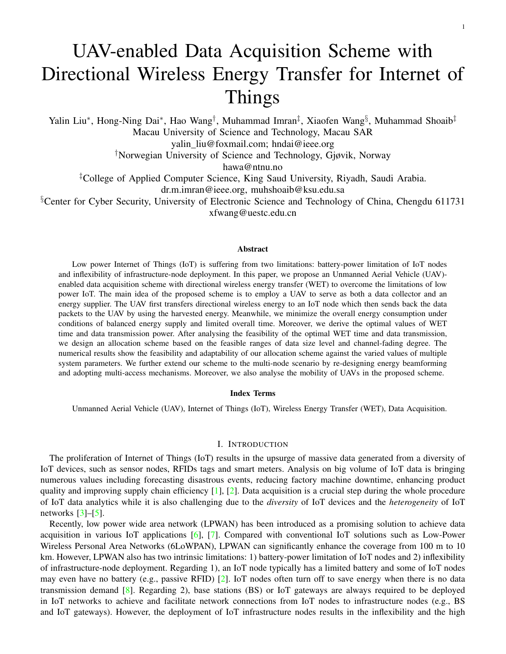<span id="page-13-3"></span>

<span id="page-13-5"></span><span id="page-13-4"></span><span id="page-13-2"></span><span id="page-13-1"></span>Fig. 7. Data transmitting rate r, overall latency T, supplied energy  $e_{EH}$  and overall energy consumption  $e_{overall}$  versus distance d.

allocations keeps nearly unchanged. This is because data transmitting power has been adaptively adjusted for the deteriorated channel, thus leading to a stable data transmission.

In summary, *AF 1* allocates more WET time and data transmitting power than *AF 2*. Thus, *AF 1* can work in a larger range than *AF 2*. Accordingly, the node allocated with *AF 1* can successfully transmit its data in less time than the node allocated with *AF 2*.

# *B. Performance Analysis*

Fig. [7](#page-13-1) presents the performance of two allocation functions. We consider four performance metrics (i.e., data transmitting rate, overall latency, supplied energy, overall energy consumption) as shown in Fig.  $7(b)$ , Fig.  $7(a)$ , Fig. [7\(c\)](#page-13-4) and Fig. [7\(d\),](#page-13-5) respectively. In Fig, [7\(b\),](#page-13-2) we observe that, the overall latency in *AF 1* is equal to the maximum latency threshold  $T^{max} = 1s$ , while the overall latency in *AF 2* is adjustable with the increased distance, which is the intrinsic setting of two allocations according to Theorem [1.](#page-6-0) In Fig.  $7(a)$ , we observe that the transmitting rate keeps stable against the distance. This is because data transmitting power has been adaptively adjusted for the deteriorated channel, thus leading to a stable data transmission. Specifically, *AF 1* that keeps a higher data transmitting rate requires more supplied energy and consumes more overall energy, compared with *AF 2*. All of these phenomenons are caused by the larger allocation values of WET time and data transmitting power of *AF 1* than *AF 2*.

Both the statistic analysis and the numerical results show multiple system parameters' impact on our scheme. Accordingly, we can improve the system performance by adjusting some parameters. For example, we can improve the harvested energy by increasing the value of WET power as well as increasing the number of antenna elements. In addition, we can improve the system adaptability to the worse channel by decreasing the size of the data load. Moreover, we can achieve the valid condition to conduct our scheme by lowering the distance between the UAV and IoT node.

## VI. DISCUSSION

<span id="page-13-0"></span>In this section, we extend our data acquisition scheme to the multi-node scenario and discuss the mobility of UAVs. Particularly, with the multi-node energy beamforming technology and multi-access mechanism adopted, we give an extended data acquisition task for multiple nodes. In addition, we present two mobile strategies of the UAV to deal with the nodes that are activated while cannot use the allocation scheme.

## *A. Data acquisition of multiple nodes*

Recalling the aforementioned analysis in Section [IV-B,](#page-11-1) we offer a data acquisition scheme to allocate WET time and data transmitting power between the UAV and one IoT node. This scheme is specifically suitable for the nodes with sparse distribution in remote area, where a UAV conducts the data acquisition tasks from multiple nodes via hovering directly above each node in one-by-one manner. Regarding another scenario that the IoT nodes are densely distributed, a UAV can fly directly above multiple nodes as close as possible to minimize path loss. In this case,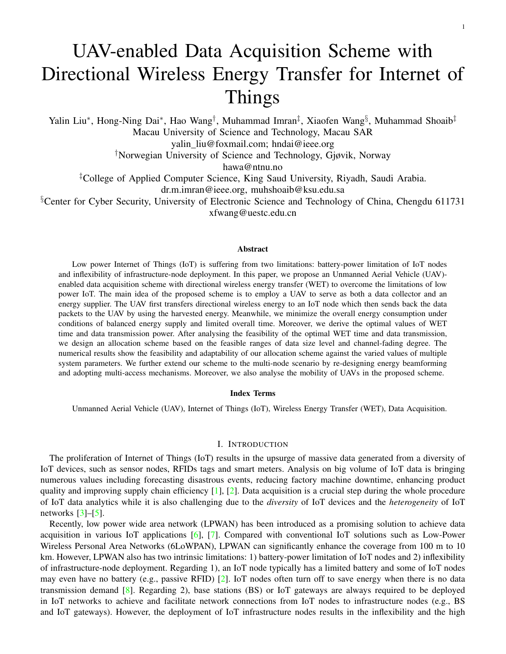

<span id="page-14-0"></span>Fig. 8. Data acquisition processes of multiple nodes.

the UAV may activate more than one IoT node after broadcasting the wake-up signal, then the resource allocation scheme should be adjusted to ensure the successful WET and data transmitting for multiple nodes.

In particular, we consider an extended data acquisition task for multiple nodes. This task has the same activation process as the single-node task as shown in Section  $II$ , i.e., the UAV broadcast the wake-up signal and then receive the feedback signals from multiple activated IoT nodes. In addition, we present the extension of WET and data transmitting for multiple nodes as follows: 1) the UAV transfers a BF energy signal to multiple nodes; 2) then multiple nodes with the harvested energy transmit their data to the UAV. For simplicity, we assume that the wake-up power threshold is equal to the minimum harvested power for IoT nodes. Then the activated nodes can successfully harvest the energy and then transmit their data. Fig. [8](#page-14-0) shows the detailed arrangement of WET and data transmission of multiple nodes, in which the system parameters need to be properly assigned.

We can follow the aforementioned data acquisition scheme as Section  $\rm{II}$  $\rm{II}$  $\rm{II}$  and allocate WET time and data transmitting power to ensure the successful data acquisition for each activated node. Kindly note that the previous scheme can only be used when the valid energy harvesting condition and the feasible channel fading condition are satisfied simultaneously. Meanwhile, as shown in the previous analysis in Section [IV,](#page-7-0) the two conditions are essentially transformed to the distance limitations, after giving the system settings including channel fading model  $h$ , energy transfer power  $P_{ET}$ , and the data transmitting size l. For the nodes that are activated at the same time, as they usually share the same channel fading model, they follow the same distance limitations (i.e.,  $d < \min f d_{EH \min}$ ,  $d_1 g$ ). Consequently, the  $n$  activated nodes under the distance limitations can be allocated with the corresponding WET time  $\alpha_i^{alo}T_i^{alo}$  and data transmitting power  $p_i^{alo}$ , where  $i \geq f(1, 2, ..., ng)$ . Moreover, the WET time should be unified as the maximal allocation value of WET time from all IoT nodes, i.e., max  $\{\alpha_i^{alo}T_i^{alo}\}$ . This requirement can ensure the sufficient energy supply for all IoT nodes.

Moreover, two critical technologies should be exploited to achieve the multi-node data acquisition task: 1) energy BF for multiple nodes and 2) the multi-access mechanism for the system support for allocation of multiple nodes. Regarding energy BF technology to multiple nodes, a simple method is to combine the optimized BF vector of multiple activated nodes together and form an overall BF vector, i.e.,  $\mathbf{w} = \sum_{i=1}^{n} \mathbf{w}_i$ ,  $\delta i \geq \tau, 2, ..., n$ , where  $w_i = v_{i1}/kv_{i1}$  and  $v_{i1}$  is computed from the estimated channel matrix of each feed back signal. With respect to multi-access mechanisms, there are three types of multi-access schemes: i) frequency-division-multiple-access (FDMA) [\[50\]](#page-20-10), ii) time-division-multiple-access (TDMA) [\[51\]](#page-20-11), and iii) space-division-multiple-access (SDMA) [\[52\]](#page-20-12). It is worth mentioning that both FDMA and SDMA can support simultaneous G2A data transmissions, hence the allocation scheme for multiple nodes can perform independently. As a result, either FDMA or SDMA based multi-access system can independently use the allocated data transmitting power  $p^{alo}$  at each node. In contrast, TDMA requires extra time scheduling for every node. In general, we can choose the starting time of the ith node, by computing the summation of the transmission time and the starting time of the  $i$  1th node, i.e.,  $t_i$  =  $t_{i+1} + \sum_{j=1}^{i-1} (\hat{1} - \alpha_j^{alo}) T_j^{alo}, \beta_j = 1, 2, ..., i.$ 

# *B. Mobility analysis of UAVs*

It is worth mentioning that some nodes within the distance  $d (d_1 < d < d_{EH \text{min}})$  cannot accomplish their data acquisition even though they are activated since these nodes do not satisfy the feasible condition that is required by the aforementioned scheme [IV-B.](#page-11-1) In this case, the UAV can adjust its height or placement to shorten the distance to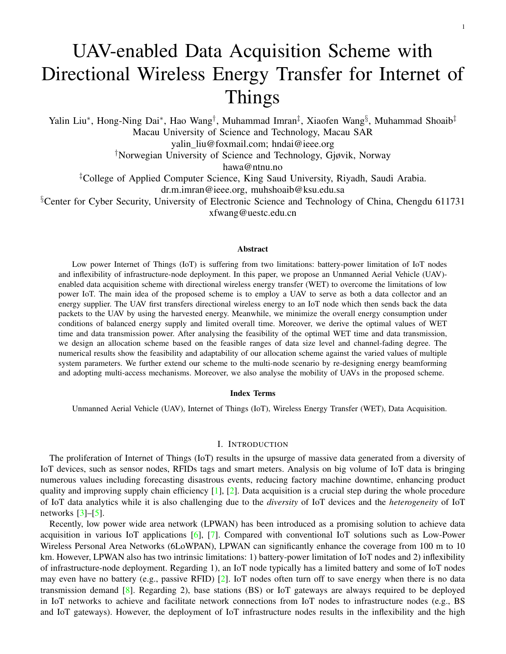

<span id="page-15-1"></span>Fig. 9. Two mobility strategies of the UAV.

these nodes and then directly conduct the WET and data transmission. Considering that there may be one or more than one nodes in this scenario, we list two mobile strategies of the UAV to shorten the distance with the nodes: 1) descending height of UAV for one node; 2) trajectory planning for multiple nodes. Fig. [9](#page-15-1) shows an analysis of the two strategies. We describe the details as follows.

Height descending strategy is adopted when the UAV directly flies above a node and its height is not low enough to satisfy the feasible condition of the data acquisition scheme. In this case, the IoT nodes are generally distributed in a sparse manner and the UAV can only activate those nodes one by one. Thus, the UAV that conduct the separate data acquisition task for each node in the one-by-one way may suffer from the case of the height being not low enough. Therefore, the UAV needs to descend its height to the distance  $d^{\theta}$  ( $d^{\theta} < \text{minfd}_1, d_{EH \text{min}}$ g) so as to let the allocation scheme be feasible. Additionally, trajectory planning of the UAV is used when multiple nodes are activated but only some of them satisfy the feasible distance  $(d < \min f d_1, d_{EH} \min g)$ . This strategy can deal with the densely-distributed IoT nodes since the UAV can simultaneously activate multiple nodes while not all activated nodes fall into the feasible distance. In this case, the UAV does not need to descend its height because its height is under the feasible distance range, thus the UAV can plan its trajectory to visit the multiple nodes one by one. In particular, the trajectory planning can be determined by finding the shortest path of the UAV passing through all activated nodes. Without loss of generality, the previous studies of UAVs' trajectory planning such as [\[51\]](#page-20-11), [\[53\]](#page-20-13) can be used to solve this issue.

# VII. CONCLUSION

<span id="page-15-0"></span>This paper presents a UAV-enabled data acquisition scheme with WET for IoT. In particular, we investigate an overall energy minimization problem for a single UAV-enabled data acquisition task. We derive two allocation functions to conduct the optimal allocation of WET time and data transmission power. Accordingly, we design an allocation scheme based on the above analysis. The numerical results show that the proposed scheme can offer a flexible allocation of WET time to support the stable data transmitting power and data transmitting rate. Moreover, the proposed scheme can be extended to multiple nodes by re-designing energy BF and adopting multi-access mechanisms. Based on our allocation scheme, the feasible condition can be used to adjust the UAV's placement to collect data from all activated nodes.

#### APPENDIX A

*Derivation* for w .

The harvested power of the energy signal at the IoT node is denoted by  $P_{EH}$ . Combining WET link h with the BF energy signal *s*, we can compute  $P_{EH}$  that is equal to tr( $s^H$ *Hs*) =  $P_{ET}$ tr( $w^H$ *Hw*), where *H* =  $hh^H$ is the covariance matrix of  $h$ . We can compute an optimal value of w by maximizing the harvested power. This minimization problem can be modelled as a simple semi-definite programming problem as follows

$$
\max_{\mathbf{w}} \quad P_{EH} = P_{ET} \text{tr}(\mathbf{w}^H H \mathbf{w}) \qquad \text{s.t.} \quad \mathbf{w} \quad 0.
$$

The optimal solution of the above problem is  $w = v_1$ , where  $v_1$  is an eigenvector that matches with the maximum eigenvalue  $\lambda_1$  of matrix H. To get a normalized BF vector for limiting the power of BF energy signal to  $P_{ET}$ , we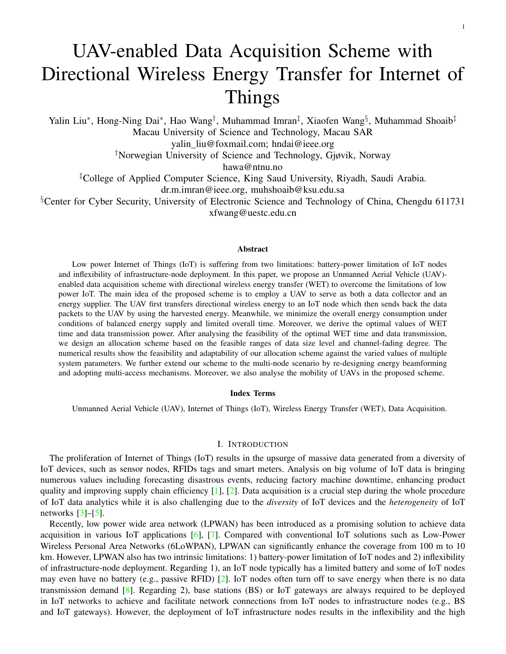update the optimal **w** as  $\frac{v_1}{kv_1k}$ . The updated optimal BF vector leads to the maximum harvested power  $\lambda_1 P_{ET}/kv_1k^2$ at the IoT node.

#### APPENDIX B

*Proof* of Theorem [1](#page-6-0)

The derivation steps are as follows. The objective function in  $P1$  (i.e., the overall energy consumption  $e_{overall}$  =  $P_{ET}$ αT) can be reduced to WET time  $\alpha T$ ; since  $P_{ET}$  is assumed to be a fixed value as shown in the communication design of Subsection [II-A.](#page-3-1) Substituting the expression of  $T$  to  $P1$ , we can reduce the three variables to two variables:  $\alpha$  and p. Accordingly, we update P1 to an simplified problem P2 as follows:

$$
(P2): \min_{p,\alpha} \frac{\alpha l}{(1-\alpha)B \log_2\left(1 + \frac{p\text{tr}(\mathbf{H})}{N_{noise}}\right)}
$$
  
s.t. 
$$
\frac{\frac{\alpha l \zeta \lambda_1 P_{ET}}{k \mathbf{v}_1 k^2}}{(1-\alpha)B \log_2\left(1 + \frac{p\text{tr}(\mathbf{H})}{N_{noise}}\right)} = \frac{lp}{B \log_2\left(1 + \frac{p\text{tr}(\mathbf{H})}{N_{noise}}\right)},
$$

$$
\frac{l}{(1-\alpha)B \log_2\left(1 + \frac{p\text{tr}(\mathbf{H})}{N_{noise}}\right)} T^{\max}.
$$

However, the objective function in above problem is non-convex to  $\alpha$ . Therefore, we set a new variable  $\beta = 1/\alpha$ to replace  $\alpha$ . We construct a new equivalent problem  $P_3$  as follows.

$$
(P3): \max_{p,\beta} (\beta \quad 1) \log_2 \left( 1 + \frac{ptr(H)}{N_{noise}} \right),
$$
  
s.t.  $l\beta$   $(\beta \quad 1)B \log_2 \left( 1 + \frac{ptr(H)}{N_{noise}} \right)T^{\max} = 0,$   
 $p(\beta \quad 1) \quad \frac{\zeta \lambda_1 P_{ET}}{k\mathbf{v}_1 k^2} = 0,$ 

In P3, both objective functions and constraints are either convex or affine for all variables. Therefore, we can derive the global optimal solution of three variables (i.e.,  $\alpha^{opt} = 1/\beta^{opt}$ ,  $T^{opt}$  and  $p^{opt}$ ) by Karush-Kuhn-Tucker (KKT) conditions [\[54\]](#page-20-14).

1) Construct the Lagrange function of Problem P3 as follows:

$$
L(p, \beta, \lambda, \mu) = (\beta \quad 1) \log_2 \left( 1 + \frac{ptr(\mathbf{H})}{N_{noise}} \right)
$$
  
+  $\lambda \left( l\beta \quad (\beta \quad 1) B \log_2 \left( 1 + \frac{ptr(\mathbf{H})}{N_{noise}} \right) T^{\max} \right)$   
+  $\mu \left( p(\beta \quad 1) \quad \frac{\zeta \lambda_1 P_{ET}}{k v_1 k^2} \right),$ 

where  $\lambda$  and  $\mu$  are Lagrange multipliers integrating all inequality-constraints into a Lagrange function as the new objective function.

2) Compute KKT equation groups: the first-order necessary condition for two variables *(KKT 1)* and *(KKT 2)*,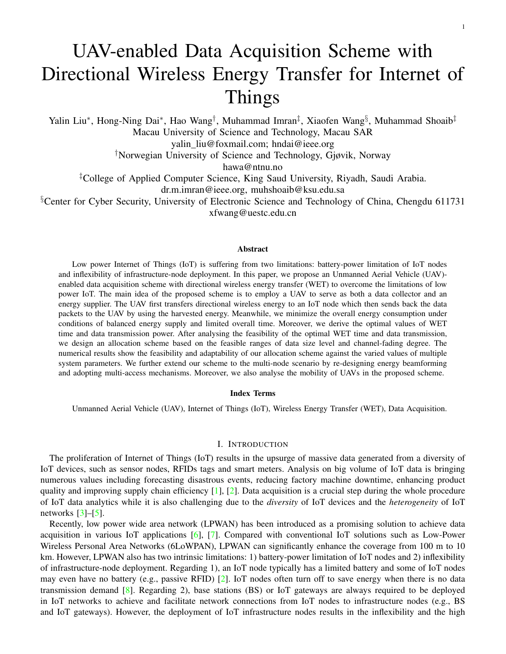inequality-constraints *(KKT 3)* and Lagrange condition *(KKT 4)*, as follows

$$
\partial \mathcal{L}/\partial p_{opt}' = 0, \tag{KKT 1}
$$

$$
\partial L/\partial \beta_{\text{Jopt}} = 0, \tag{KKT 2}
$$

$$
\mu^{opt} \left( p^{opt} (\beta^{opt} \quad 1) \quad \zeta \frac{\lambda_1 P_{ET}}{k \mathbf{v}_1 k^2} \right) = 0,
$$
\n
$$
\mu^{opt} > 0,
$$
\n
$$
p(\beta^{opt} \quad 1) \quad \zeta \frac{\lambda_1 P_{ET}}{k \mathbf{v}_1 k^2} = 0.
$$
\n(KKT 3)\n
$$
\lambda^{opt} (l\beta^{opt} \quad (\beta^{opt} \quad 1)B \log_2 \left( 1 + \frac{p^{opt} \text{tr}(H)}{N_{noise}} \right) T^{\text{max}}) = 0,
$$
\n
$$
\lambda^{opt} \quad 0,
$$
\n
$$
l\beta^{opt} \quad (\beta^{opt} \quad 1)B \log_2 \left( 1 + \frac{p^{opt} \text{tr}(H)}{N_{noise}} \right) T^{\text{max}} \quad 0,
$$
\n(KKT 4)

According to *(KKT 1)*, we have expression of  $\mu^{opt}$  in P3

<span id="page-17-0"></span>
$$
\mu^{opt} = \frac{\lambda^{opt} T^{\max} B + 1}{p + \frac{N_{noise}}{\text{tr}(H)}}.
$$
\n(16)

Substituting Eq. [\(16\)](#page-17-0) to *(KKT 2)*, we obtain  $p^{opt}$  and  $\lambda^{opt}$  in  $P3$ 

<span id="page-17-1"></span>
$$
\log_2\left(1+\frac{p^{opt}\text{tr}(\boldsymbol{H})}{N_{noise}}\right)=\frac{\lambda^{opt}l+\frac{p^{opt}(\lambda^{opt}T^{\max}B+1)}{p^{opt}+\frac{N_{noise}}{\text{tr}(\boldsymbol{H})}}}{\lambda^{opt}T^{\max}B+1}
$$
(17)

According to Eq. [\(16\)](#page-17-0), we determine  $\mu^{opt} > 0$ . Then substituting  $\mu^{opt} > 0$  to *(KKT 3)*, we get the following equation

$$
p^{opt}(\beta^{opt} \quad 1) \quad \zeta \frac{\lambda_1 P_{ET}}{k \mathbf{v}_1 k^2} = 0.
$$

Solving the above equation, we got the optimal value of  $\beta$  as follows

$$
\beta^{opt} = \zeta \frac{\lambda_1 P_{ET}}{k \mathbf{v}_1 k^2} / p^{opt} + 1.
$$

Since  $\beta^{opt} = 1/\alpha^{opt}$ , we derive the optimal WET time factor of P3 as follows

<span id="page-17-2"></span>
$$
\alpha^{opt} = p^{opt} / (\zeta \frac{\lambda_1 P_{ET}}{k \mathbf{v}_1 k^2} + p^{opt}).
$$
\n(18)

3) For the final solution, we have two branches because of the indeterminate sign of  $\lambda^{opt}$ .

When  $\lambda^{opt} = 0$ ,  $T^{opt} < T^{max}$  always holds. Substituting  $\lambda^{opt} = 0$  to Eq. [\(17\)](#page-17-1), we get

$$
\log_2\left(1+\frac{p^{opt}\text{tr}(\boldsymbol{H})}{N_{noise}}\right)=\frac{p^{opt}}{p^{opt}+\frac{N_{noise}}{\text{tr}(\boldsymbol{H})}}.
$$

Solving the above equation, we get the optimal data transmission power in *Case 1* of Theorem [1,](#page-6-0) i.e.,  $p_1^{opt} =$  $2N_{noise}/tr(H)$ . Accordingly, we derive the optimal value  $\alpha^{opt}$  by substituting  $p^{opt}$  to Eq. [\(18\)](#page-17-2). Meanwhile, we can derive  $T^{opt}$  by substituting  $p^{opt}$  to Eq. [\(2\)](#page-5-1) and Eq. [\(7a\)](#page-6-3). In addition, substituting all above optimal expressions to the inequality  $l\beta^{opt}$  ( $\beta^{opt}$  1)  $\overline{B} \log_2 \left(1 + \frac{\overline{p}^{opt} \text{tr}(\mathbf{H})}{N_{noise}}\right) T^{\text{max}}$  0 in *(KKT 4)*, we get the feasible channel-fading range for *Case [1](#page-6-0)* of Theorem 1 in Eq. [\(6\)](#page-6-1).

When  $\lambda^{opt} > 0$ ,  $T^{opt} = T^{\text{max}}$  always holds. Substituting  $\lambda^{opt} > 0$  to *(KKT4)*, we get the equation

 $l\beta$  ( $\beta$  1)  $B \log_2(1 + ptr(H)/N_{noise})$   $T^{max} = 0$ .

Solving the above equation, we get the optimal data transmission power as Eq. [\(9b\)](#page-6-4) in *Case 2* of Theorem [1.](#page-6-0)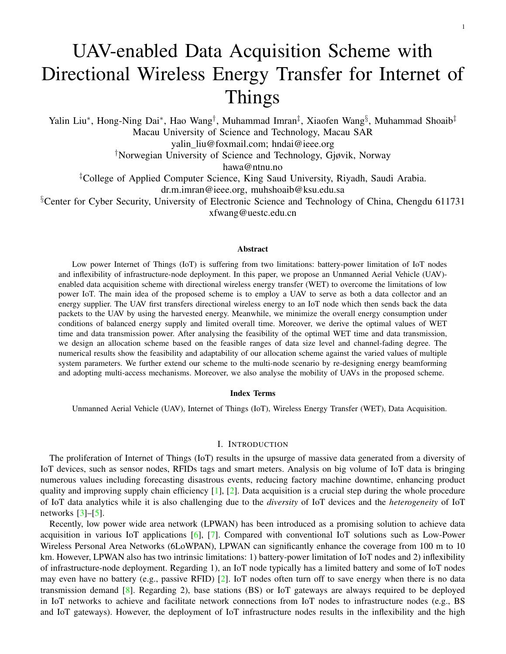Following the similar steps of the derivation of *Case 1*, we derive the optimal value  $\alpha^{opt}$  by substituting  $p^{opt}$ to Eq. [\(18\)](#page-17-2). The value of  $T^{opt}$  is fixed as  $T^{max}$ . Substituting all optimal expressions to Eq. [\(16\)](#page-17-0), we get expression of  $\lambda^{opt}$  as

$$
\lambda^{opt} = \frac{1}{\frac{l}{\log_2\left(1 + \frac{p^{opt} \pi(H)}{N_{noise}}\right) \frac{p^{opt}}{p^{opt} + \frac{N_{noise}}{\pi(H)}}} T^{\max} B}.
$$

Substituting the above equation to  $\lambda^{opt} > 0$ , we get the feasible channel-fading range for *Case* 2 of Theorem [1](#page-6-0) in Eq. [\(8\)](#page-6-2).

# APPENDIX C

*Proof* of Lemma [1](#page-7-4)

The large-scale fading value  $h_0$  can be calculated by a probability-weighted combination of path-loss components of LoS and NLoS. For convenience of calculation, we transform the  $dB$  form of the probabilistic mean path-loss model to the linear form, as follows:

<span id="page-18-7"></span>
$$
h_0 = 10 \xrightarrow{\left(\frac{\text{Pr}_{LOS}\text{PL}_{LOS} + \text{Pr}_{NLOS}\text{PL}_{NLOS}}{10}\right)},\tag{19}
$$

where  $Pr_{LOS}$  is the LoS probability,  $Pr_{NLOS} = 1$  Pr<sub>LOS</sub> is the NLoS probability, PL<sub>LOS</sub> and PL<sub>NLOS</sub> denote the corresponding path loss effects of LoS and NLoS links, respectively. According to the previous studies [\[45\]](#page-20-5), [\[55\]](#page-20-15), [\[56\]](#page-20-16), PL $_{LOS}$ , PL $_{NLOS}$  are modelled as follows, respectively,

<span id="page-18-6"></span>
$$
\begin{cases}\n\text{PL}_{LOS} = \text{PL}_{FS}(d_0) + 10\varepsilon_{LoS} \log(d), \\
\text{PL}_{NLOS} = \text{PL}_{FS}(d_0) + 10\varepsilon_{NLoS} \log(d),\n\end{cases}
$$
\n(20)

where PL<sub>FS</sub>(d<sub>0</sub>) is the free space path loss given by 20 log( $d_0f_c4\pi/c$ ) with d<sub>0</sub> being the free-space reference distance,  $f_c$  being the carrier frequency and c being the speed of light.  $\varepsilon_{LoS}$  and  $\varepsilon_{NLoS}$  are the path loss exponents for LoS and NLoS links.

Substituting Eq.  $(20)$  into Eq.  $(19)$ , we get the following derivation process:

$$
h_0 = 10^{\frac{\Pr_{LOS}PL_{LOS} + \Pr_{NLOS}PL_{NLOS}}{10}} = 10^{\frac{\Pr_{LOS}10 log \left(\left(\frac{d_0 f_c 4\pi}{c}\right)^2 d^{\varepsilon}LoS\right) + \Pr_{NLOS}10 log \left(\left(\frac{d_0 f_c 4\pi}{c}\right)^2 d^{\varepsilon}NLoS\right)}}{10}} = \left(\frac{d_0 f_c 4\pi}{c}\right)^{2Pr_{LOS}} d^{Pr_{LOS}E_{LoS}} \left(\frac{d_0 f_c 4\pi}{c}\right)^{2Pr_{NLOS}} d^{Pr_{NLOS}E_{NLoS}} = \left(\frac{d_0 f_c 4\pi}{c}\right)^2 d^{Pr_{LOS}E_{NLoS}}.
$$

#### **REFERENCES**

- <span id="page-18-0"></span>[1] P. N. Borza, M. Machedon-Pisu, and F. Hamza-Lup, "Design of Wireless Sensors for IoT with Energy Storage and Communication Channel Heterogeneity," *Sensors*, vol. 19, no. 15, p. 3364, 2019.
- <span id="page-18-1"></span>[2] S. Li, L. Da Xu, and S. Zhao, "5G Internet of Things: A survey," *Journal of Industrial Information Integration*, vol. 10, pp. 1–9, 2018.
- <span id="page-18-2"></span>[3] L. Lan, R. Shi, B. Wang, and L. Zhang, "An IoT Unified Access Platform for Heterogeneity Sensing Devices Based on Edge Computing," *IEEE Access*, vol. 7, pp. 44 199–44 211, 2019.
- [4] E. Ahmed, I. Yaqoob, I. A. T. Hashem, I. Khan, A. I. A. Ahmed, M. Imran, and A. V. Vasilakos, "The role of big data analytics in internet of things," *Computer Networks*, vol. 129, pp. 459–471, 2017.
- <span id="page-18-3"></span>[5] H.-N. Dai, R. C.-W. Wong, H. Wang, Z. Zheng, and A. V. Vasilakos, "Big data analytics for large scale wireless networks: Challenges and opportunities," *ACM Computing Surveys*, 2019.
- <span id="page-18-4"></span>[6] K. Mekki, E. Bajic, F. Chaxel, and F. Meyer, "Overview of cellular LPWAN technologies for IoT deployment: Sigfox, LoRaWAN, and NB-IoT," in *2018 IEEE International Conference on Pervasive Computing and Communications Workshops (PerCom Workshops)*. IEEE, 2018, pp. 197–202.
- <span id="page-18-5"></span>[7] Y. Mehmood, F. Ahmad, I. Yaqoob, A. Adnane, M. Imran, and S. Guizani, "Internet-of-things-based smart cities: Recent advances and challenges," *IEEE Communications Magazine*, vol. 55, no. 9, pp. 16–24, 2017.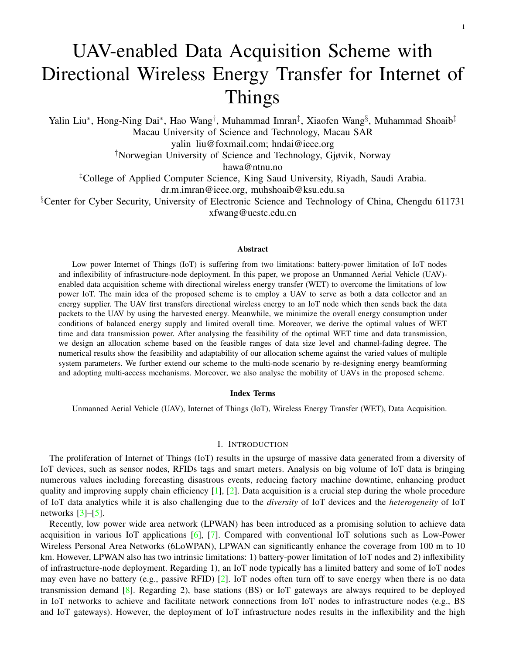- <span id="page-19-0"></span>[8] Z. Sheng, D. Tian, and V. C. Leung, "Toward an energy and resource efficient internet of things: A design principle combining computation, communications, and protocols," *IEEE Communications Magazine*, vol. 56, no. 7, pp. 89–95, 2018.
- <span id="page-19-1"></span>[9] K. Mekki, E. Bajic, F. Chaxel, and F. Meyer, "A comparative study of LPWAN technologies for large-scale IoT deployment," *ICT express*, vol. 5, no. 1, pp. 1–7, 2019.
- <span id="page-19-2"></span>[10] Y. Zeng, J. Xu, and R. Zhang, "Energy minimization for wireless communication with rotary-wing UAV," *IEEE Transactions on Wireless Communications*, vol. 18, no. 4, pp. 2329–2345, 2019.
- <span id="page-19-18"></span>[11] W. Xu, S. Wang, S. Yan, and J. He, "An Efficient Wideband Spectrum Sensing Algorithm for Unmanned Aerial Vehicle Communication Networks," *IEEE Internet of Things Journal*, vol. 6, no. 2, pp. 1768–1780, 2018.
- [12] F. Shen, G. Ding, Z. Wang, and Q. Wu, "UAV-Based 3D Spectrum Sensing in Spectrum-Heterogeneous Networks," *IEEE Transactions on Vehicular Technology*, 2019.
- [13] A. Alsharoa, N. M. Neihart, S. W. Kim, and A. E. Kamal, "Multi-band RF Energy and Spectrum Harvesting in Cognitive Radio Networks," in *2018 IEEE International Conference on Communications (ICC)*. IEEE, 2018, pp. 1–6.
- <span id="page-19-3"></span>[14] X. Liu, M. Guan, X. Zhang, and H. Ding, "Spectrum Sensing Optimization in an UAV-Based Cognitive Radio," *IEEE Access*, vol. 6, pp. 44 002–44 009, 2018.
- <span id="page-19-4"></span>[15] D. Yang, Q. Wu, Y. Zeng, and R. Zhang, "Energy tradeoff in ground-to-UAV communication via trajectory design," *IEEE Transactions on Vehicular Technology*, vol. 67, no. 7, pp. 6721–6726, 2018.
- <span id="page-19-5"></span>[16] M. Mozaffari, W. Saad, M. Bennis, and M. Debbah, "Mobile Unmanned Aerial Vehicles (UAVs) for Energy-Efficient Internet of Things Communications," *IEEE Transactions on Wireless Communications*, vol. 16, no. 11, pp. 7574–7589, 2017.
- <span id="page-19-6"></span>[17] Q. Yang and S. J. Yoo, "Optimal UAV Path Planning: Sensing Data Acquisition Over IoT Sensor Networks Using Multi-Objective Bio-Inspired Algorithms," *IEEE Access*, vol. 6, no. 99, pp. 13 671–13 684, 2018.
- <span id="page-19-7"></span>[18] S. Ullah, K.-I. Kim, K. H. Kim, M. Imran, P. Khan, E. Tovar, and F. Ali, "UAV-enabled healthcare architecture: Issues and challenges," *Future Generation Computer Systems*, vol. 97, pp. 425–432, 2019.
- <span id="page-19-8"></span>[19] L. R. Varshney, "Transporting information and energy simultaneously," in *IEEE International Symposium on Information Theory*, 2013, pp. 1612–1616.
- <span id="page-19-9"></span>[20] Y. Alsaba, S. K. A. Rahim, and C. Y. Leow, "Beamforming in wireless energy harvesting communications systems: A survey," *IEEE Communications Surveys & Tutorials*, vol. 20, no. 2, pp. 1329–1360, 2018.
- <span id="page-19-10"></span>[21] R. Zhang and C. K. Ho, "MIMO Broadcasting for Simultaneous Wireless Information and Power Transfer," *IEEE Transactions on Wireless Communications*, vol. 12, no. 5, pp. 1989–2001, 2013.
- <span id="page-19-26"></span>[22] J. Xu and R. Zhang, "Energy beamforming with one-bit feedback," *IEEE Transactions on Signal Processing*, vol. 62, no. 20, pp. 5370–5381, 2014.
- <span id="page-19-11"></span>[23] S. Buzzi and C. D'Andrea, "Energy Efficiency and Asymptotic Performance Evaluation of Beamforming Structures in Doubly Massive MIMO mmWave Systems," *IEEE Transactions on Green Communications and Networking*, vol. 2, no. 2, pp. 385–396, 2018.
- <span id="page-19-12"></span>[24] B. Ji, Y. Li, B. Zhou, C. Li, K. Song, and H. Wen, "Performance Analysis of UAV Relay Assisted IoT Communication Network Enhanced With Energy Harvesting," *IEEE Access*, vol. 7, pp. 38 738–38 747, 2019.
- [25] H. Wang, J. Wang, G. Ding, L. Wang, T. A. Tsiftsis, and P. K. Sharma, "Resource Allocation for Energy Harvesting-Powered D2D Communication Underlaying UAV-Assisted Networks," *IEEE Transactions on Green Communications and Networking*, vol. 2, no. 1, pp. 14–24, March 2018.
- [26] L. Yang, J. Chen, M. O. Hasna, and H. Yang, "Outage Performance of UAV-Assisted Relaying Systems With RF Energy Harvesting," *IEEE Communications Letters*, vol. 22, no. 12, pp. 2471–2474, Dec 2018.
- <span id="page-19-13"></span>[27] J. Xu, Y. Zeng, and R. Zhang, "UAV-Enabled Wireless Power Transfer: Trajectory Design and Energy Optimization," *IEEE Transactions on Wireless Communications*, vol. PP, no. 99, pp. 1–1, 2017.
- <span id="page-19-14"></span>[28] Y. Karaca, M. Cicek, O. Tatli, A. Sahin, S. Pasli, M. F. Beser, and S. Turedi, "The potential use of unmanned aircraft systems (drones) in mountain search and rescue operations," *The American journal of emergency medicine*, vol. 36, no. 4, pp. 583–588, 2018.
- <span id="page-19-15"></span>[29] H. Hellaoui, O. Bekkouche, M. Bagaa, and T. Taleb, "Aerial Control System for Spectrum Efficiency in UAV-to-Cellular Communications," *IEEE Communications Magazine*, vol. 56, no. 10, pp. 108–113, 2018.
- <span id="page-19-16"></span>[30] N. Kouzayha, H. Elsawy, Z. Dawy, and J. G. Andrews, "Analysis of an ID-Based RF Wake-Up Solution for IoT over Cellular Networks," in *IEEE GLOBECOM Workshops*, 2017, pp. 1–6.
- <span id="page-19-17"></span>[31] J. Chen, Z. Dai, and Z. Chen, "Development of Radio-Frequency Sensor Wake-Up with Unmanned Aerial Vehicles as an Aerial Gateway," *Sensors*, vol. 19, no. 5, p. 1047, 2019.
- <span id="page-19-19"></span>[32] S. Rao, A. L. Swindlehurst, and H. Pirzadeh, "Massive mimo channel estimation with 1-bit spatial sigma-delta adcs," in *ICASSP 2019-2019 IEEE International Conference on Acoustics, Speech and Signal Processing (ICASSP)*. IEEE, 2019, pp. 4484–4488.
- <span id="page-19-20"></span>[33] J. Zhao, F. Gao, L. Kuang, Q. Wu, and W. Jia, "Channel Tracking with Flight Control System for UAV mmWave MIMO Communications," *IEEE Communications Letters*, vol. 22, no. 6, pp. 1224–1227, 2018.
- <span id="page-19-21"></span>[34] M. Magno, V. Jelicic, B. Srbinovski, V. Bilas, E. Popovici, and L. Benini, "Design, implementation, and performance evaluation of a flexible low-latency nanowatt wake-up radio receiver," *IEEE Transactions on Industrial Informatics*, vol. 12, no. 2, pp. 633–644, April 2016.
- <span id="page-19-25"></span>[35] D. Ghose, F. Y. Li, and V. Pla, "MAC Protocols for Wake-Up Radio: Principles, Modeling and Performance Analysis," *IEEE Transactions on Industrial Informatics*, vol. 14, no. 5, pp. 2294–2306, May 2018.
- <span id="page-19-22"></span>[36] D. Hedlund, "Motor system design for large UAV," [http://www.diva-portal.org/smash/get/diva2:1131267/FULLTEXT01.pdf,](http://www.diva-portal.org/smash/get/diva2:1131267/FULLTEXT01.pdf) june 5, 2017.
- [37] D. F. Finger, F. Götten, C. Braun, and C. Bil, "On Aircraft Design Under the Consideration of Hybrid-Electric Propulsion Systems," in *Asia-Pacific International Symposium on Aerospace Technology*. Springer, 2018, pp. 1261–1272.
- <span id="page-19-23"></span>[38] N. S. Brun, "Preliminary design of a fuel cell-battery hybrid propulsion system for a small vtol uav," Master's thesis, University of Stavanger, Norway, 2018.
- <span id="page-19-24"></span>[39] Qualcomm, "LTE Unmanned Aircraft Systems Trial Report," [https://www.qualcomm.com/documents/lte-unmanned-aircraft-systems](https://www.qualcomm.com/documents/lte-unmanned-aircraft-systems-trial-report)[trial-report,](https://www.qualcomm.com/documents/lte-unmanned-aircraft-systems-trial-report) san Diego, CA, USA, 2017.